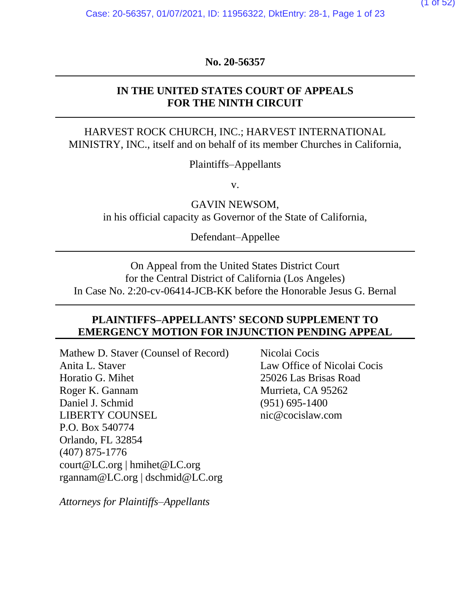(1 of 52)

**No. 20-56357**

### **IN THE UNITED STATES COURT OF APPEALS FOR THE NINTH CIRCUIT**

### HARVEST ROCK CHURCH, INC.; HARVEST INTERNATIONAL MINISTRY, INC., itself and on behalf of its member Churches in California,

Plaintiffs–Appellants

v.

GAVIN NEWSOM, in his official capacity as Governor of the State of California,

Defendant–Appellee

On Appeal from the United States District Court for the Central District of California (Los Angeles) In Case No. 2:20-cv-06414-JCB-KK before the Honorable Jesus G. Bernal

### **PLAINTIFFS–APPELLANTS' SECOND SUPPLEMENT TO EMERGENCY MOTION FOR INJUNCTION PENDING APPEAL**

Mathew D. Staver (Counsel of Record) Anita L. Staver Horatio G. Mihet Roger K. Gannam Daniel J. Schmid LIBERTY COUNSEL P.O. Box 540774 Orlando, FL 32854 (407) 875-1776 court@LC.org | hmihet@LC.org rgannam@LC.org | dschmid@LC.org

*Attorneys for Plaintiffs–Appellants*

Nicolai Cocis Law Office of Nicolai Cocis 25026 Las Brisas Road Murrieta, CA 95262 (951) 695-1400 nic@cocislaw.com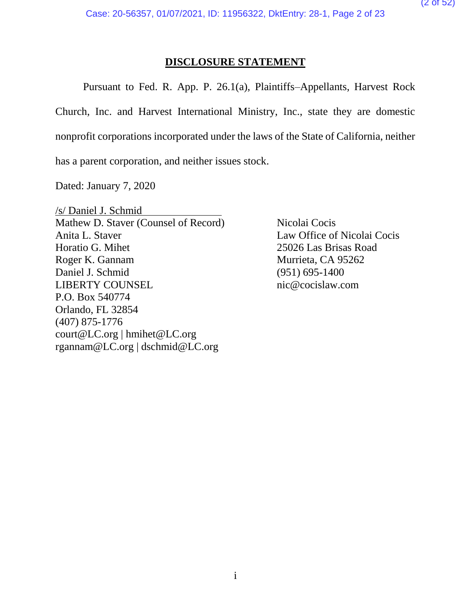### **DISCLOSURE STATEMENT**

Pursuant to Fed. R. App. P. 26.1(a), Plaintiffs–Appellants, Harvest Rock Church, Inc. and Harvest International Ministry, Inc., state they are domestic nonprofit corporations incorporated under the laws of the State of California, neither has a parent corporation, and neither issues stock.

Dated: January 7, 2020

/s/ Daniel J. Schmid Mathew D. Staver (Counsel of Record) Nicolai Cocis Anita L. Staver Law Office of Nicolai Cocis Horatio G. Mihet 25026 Las Brisas Road Roger K. Gannam Murrieta, CA 95262 Daniel J. Schmid (951) 695-1400 LIBERTY COUNSEL nic@cocislaw.com P.O. Box 540774 Orlando, FL 32854 (407) 875-1776 court@LC.org | hmihet@LC.org rgannam@LC.org | dschmid@LC.org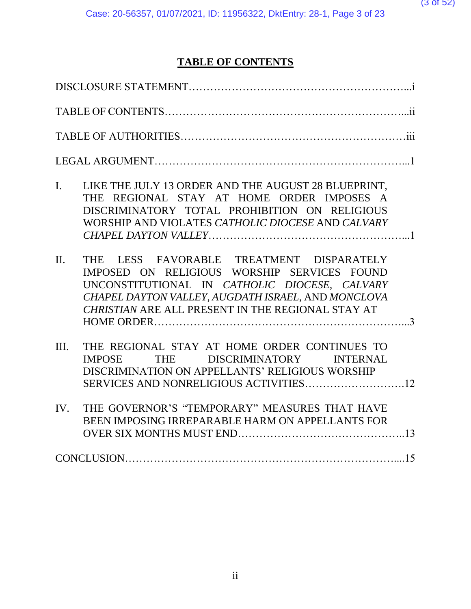### **TABLE OF CONTENTS**

| LIKE THE JULY 13 ORDER AND THE AUGUST 28 BLUEPRINT,<br>$\mathbf{I}$ .<br>THE REGIONAL STAY AT HOME ORDER IMPOSES A<br>DISCRIMINATORY TOTAL PROHIBITION ON RELIGIOUS<br>WORSHIP AND VIOLATES CATHOLIC DIOCESE AND CALVARY                                       |  |
|----------------------------------------------------------------------------------------------------------------------------------------------------------------------------------------------------------------------------------------------------------------|--|
| THE LESS FAVORABLE TREATMENT DISPARATELY<br>$\Pi$ .<br>IMPOSED ON RELIGIOUS WORSHIP SERVICES FOUND<br>UNCONSTITUTIONAL IN CATHOLIC DIOCESE, CALVARY<br>CHAPEL DAYTON VALLEY, AUGDATH ISRAEL, AND MONCLOVA<br>CHRISTIAN ARE ALL PRESENT IN THE REGIONAL STAY AT |  |
| THE REGIONAL STAY AT HOME ORDER CONTINUES TO<br>III.<br>THE DISCRIMINATORY INTERNAL<br><b>IMPOSE</b><br>DISCRIMINATION ON APPELLANTS' RELIGIOUS WORSHIP                                                                                                        |  |
| THE GOVERNOR'S "TEMPORARY" MEASURES THAT HAVE<br>IV.<br>BEEN IMPOSING IRREPARABLE HARM ON APPELLANTS FOR                                                                                                                                                       |  |
|                                                                                                                                                                                                                                                                |  |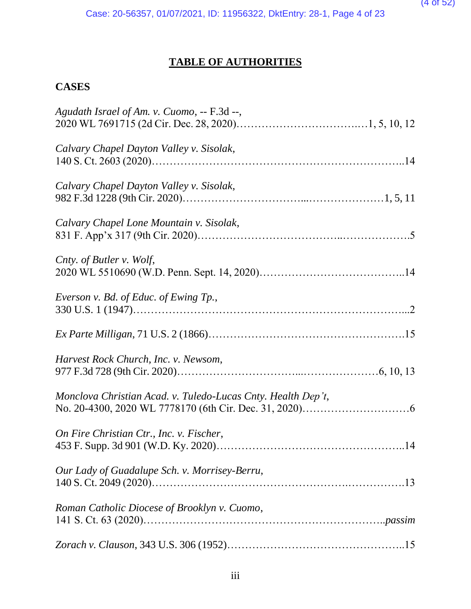### **TABLE OF AUTHORITIES**

### **CASES**

| Agudath Israel of Am. v. Cuomo, -- F.3d --,                  |  |
|--------------------------------------------------------------|--|
| Calvary Chapel Dayton Valley v. Sisolak,                     |  |
| Calvary Chapel Dayton Valley v. Sisolak,                     |  |
| Calvary Chapel Lone Mountain v. Sisolak,                     |  |
| Cnty. of Butler v. Wolf,                                     |  |
| Everson v. Bd. of Educ. of Ewing Tp.,                        |  |
|                                                              |  |
| Harvest Rock Church, Inc. v. Newsom,                         |  |
| Monclova Christian Acad. v. Tuledo-Lucas Cnty. Health Dep't, |  |
| On Fire Christian Ctr., Inc. v. Fischer,                     |  |
| Our Lady of Guadalupe Sch. v. Morrisey-Berru,                |  |
| Roman Catholic Diocese of Brooklyn v. Cuomo,                 |  |
|                                                              |  |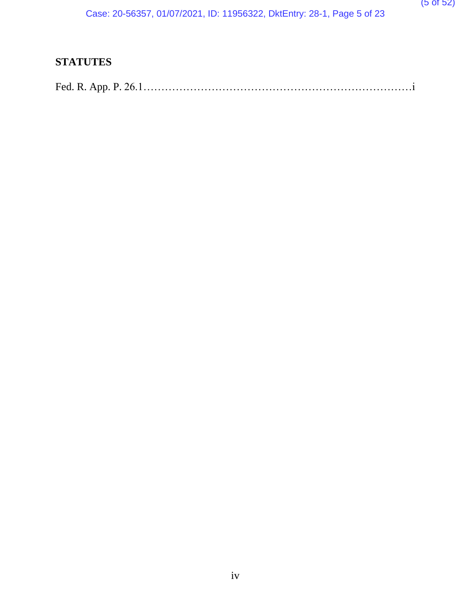### **STATUTES**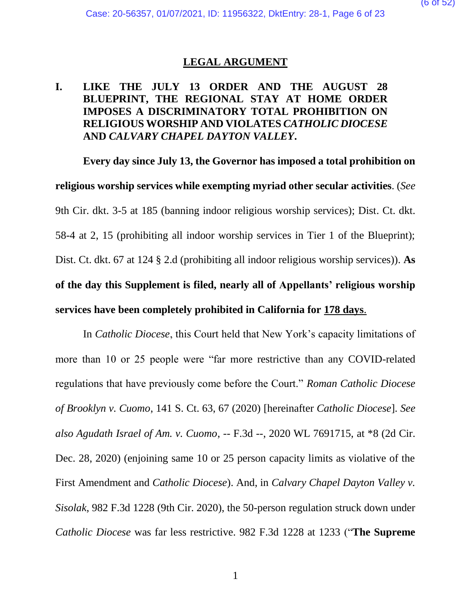### **LEGAL ARGUMENT**

### **I. LIKE THE JULY 13 ORDER AND THE AUGUST 28 BLUEPRINT, THE REGIONAL STAY AT HOME ORDER IMPOSES A DISCRIMINATORY TOTAL PROHIBITION ON RELIGIOUS WORSHIP AND VIOLATES** *CATHOLIC DIOCESE*  **AND** *CALVARY CHAPEL DAYTON VALLEY***.**

**Every day since July 13, the Governor has imposed a total prohibition on religious worship services while exempting myriad other secular activities**. (*See*  9th Cir. dkt. 3-5 at 185 (banning indoor religious worship services); Dist. Ct. dkt. 58-4 at 2, 15 (prohibiting all indoor worship services in Tier 1 of the Blueprint); Dist. Ct. dkt. 67 at 124 § 2.d (prohibiting all indoor religious worship services)). **As of the day this Supplement is filed, nearly all of Appellants' religious worship services have been completely prohibited in California for 178 days**.

In *Catholic Diocese*, this Court held that New York's capacity limitations of more than 10 or 25 people were "far more restrictive than any COVID-related regulations that have previously come before the Court." *Roman Catholic Diocese of Brooklyn v. Cuomo*, 141 S. Ct. 63, 67 (2020) [hereinafter *Catholic Diocese*]. *See also Agudath Israel of Am. v. Cuomo*, -- F.3d --, 2020 WL 7691715, at \*8 (2d Cir. Dec. 28, 2020) (enjoining same 10 or 25 person capacity limits as violative of the First Amendment and *Catholic Diocese*). And, in *Calvary Chapel Dayton Valley v. Sisolak*, 982 F.3d 1228 (9th Cir. 2020), the 50-person regulation struck down under *Catholic Diocese* was far less restrictive. 982 F.3d 1228 at 1233 ("**The Supreme**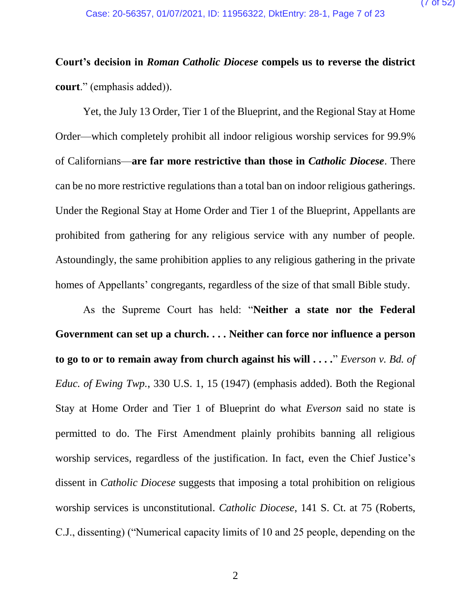# **Court's decision in** *Roman Catholic Diocese* **compels us to reverse the district court**." (emphasis added)).

Yet, the July 13 Order, Tier 1 of the Blueprint, and the Regional Stay at Home Order—which completely prohibit all indoor religious worship services for 99.9% of Californians—**are far more restrictive than those in** *Catholic Diocese*. There can be no more restrictive regulations than a total ban on indoor religious gatherings. Under the Regional Stay at Home Order and Tier 1 of the Blueprint, Appellants are prohibited from gathering for any religious service with any number of people. Astoundingly, the same prohibition applies to any religious gathering in the private homes of Appellants' congregants, regardless of the size of that small Bible study.

As the Supreme Court has held: "**Neither a state nor the Federal Government can set up a church. . . . Neither can force nor influence a person to go to or to remain away from church against his will . . . .**" *Everson v. Bd. of Educ. of Ewing Twp.*, 330 U.S. 1, 15 (1947) (emphasis added). Both the Regional Stay at Home Order and Tier 1 of Blueprint do what *Everson* said no state is permitted to do. The First Amendment plainly prohibits banning all religious worship services, regardless of the justification. In fact, even the Chief Justice's dissent in *Catholic Diocese* suggests that imposing a total prohibition on religious worship services is unconstitutional. *Catholic Diocese*, 141 S. Ct. at 75 (Roberts, C.J., dissenting) ("Numerical capacity limits of 10 and 25 people, depending on the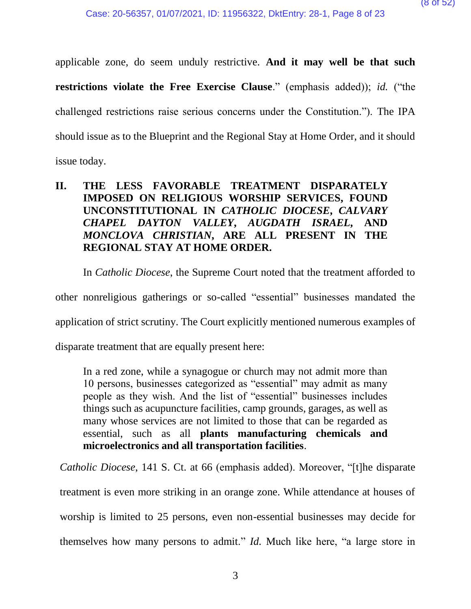applicable zone, do seem unduly restrictive. **And it may well be that such restrictions violate the Free Exercise Clause**." (emphasis added)); *id.* ("the challenged restrictions raise serious concerns under the Constitution."). The IPA should issue as to the Blueprint and the Regional Stay at Home Order, and it should issue today.

### **II. THE LESS FAVORABLE TREATMENT DISPARATELY IMPOSED ON RELIGIOUS WORSHIP SERVICES, FOUND UNCONSTITUTIONAL IN** *CATHOLIC DIOCESE***,** *CALVARY CHAPEL DAYTON VALLEY***,** *AUGDATH ISRAEL***, AND**  *MONCLOVA CHRISTIAN***, ARE ALL PRESENT IN THE REGIONAL STAY AT HOME ORDER.**

In *Catholic Diocese*, the Supreme Court noted that the treatment afforded to

other nonreligious gatherings or so-called "essential" businesses mandated the

application of strict scrutiny. The Court explicitly mentioned numerous examples of

disparate treatment that are equally present here:

In a red zone, while a synagogue or church may not admit more than 10 persons, businesses categorized as "essential" may admit as many people as they wish. And the list of "essential" businesses includes things such as acupuncture facilities, camp grounds, garages, as well as many whose services are not limited to those that can be regarded as essential, such as all **plants manufacturing chemicals and microelectronics and all transportation facilities**.

*Catholic Diocese*, 141 S. Ct. at 66 (emphasis added). Moreover, "[t]he disparate treatment is even more striking in an orange zone. While attendance at houses of worship is limited to 25 persons, even non-essential businesses may decide for themselves how many persons to admit." *Id.* Much like here, "a large store in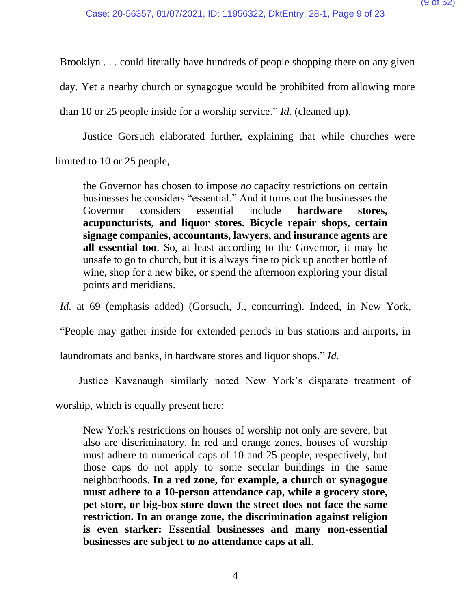Brooklyn . . . could literally have hundreds of people shopping there on any given

day. Yet a nearby church or synagogue would be prohibited from allowing more

than 10 or 25 people inside for a worship service." *Id.* (cleaned up).

Justice Gorsuch elaborated further, explaining that while churches were limited to 10 or 25 people,

the Governor has chosen to impose *no* capacity restrictions on certain businesses he considers "essential." And it turns out the businesses the Governor considers essential include **hardware stores, acupuncturists, and liquor stores. Bicycle repair shops, certain signage companies, accountants, lawyers, and insurance agents are all essential too**. So, at least according to the Governor, it may be unsafe to go to church, but it is always fine to pick up another bottle of wine, shop for a new bike, or spend the afternoon exploring your distal points and meridians.

*Id.* at 69 (emphasis added) (Gorsuch, J., concurring). Indeed, in New York,

"People may gather inside for extended periods in bus stations and airports, in

laundromats and banks, in hardware stores and liquor shops." *Id.* 

Justice Kavanaugh similarly noted New York's disparate treatment of

worship, which is equally present here:

New York's restrictions on houses of worship not only are severe, but also are discriminatory. In red and orange zones, houses of worship must adhere to numerical caps of 10 and 25 people, respectively, but those caps do not apply to some secular buildings in the same neighborhoods. **In a red zone, for example, a church or synagogue must adhere to a 10-person attendance cap, while a grocery store, pet store, or big-box store down the street does not face the same restriction. In an orange zone, the discrimination against religion is even starker: Essential businesses and many non-essential businesses are subject to no attendance caps at all**.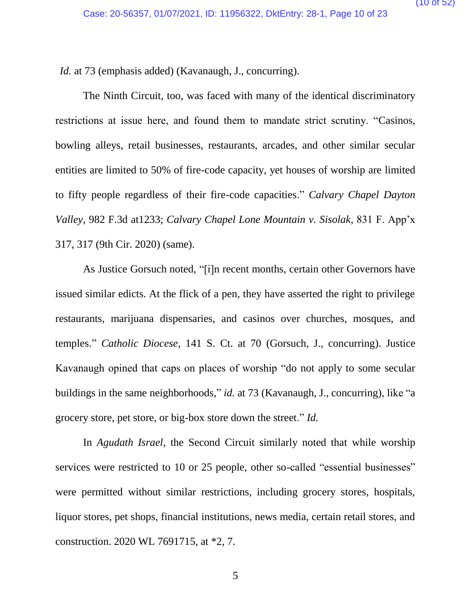*Id.* at 73 (emphasis added) (Kavanaugh, J., concurring).

The Ninth Circuit, too, was faced with many of the identical discriminatory restrictions at issue here, and found them to mandate strict scrutiny. "Casinos, bowling alleys, retail businesses, restaurants, arcades, and other similar secular entities are limited to 50% of fire-code capacity, yet houses of worship are limited to fifty people regardless of their fire-code capacities." *Calvary Chapel Dayton Valley*, 982 F.3d at1233; *Calvary Chapel Lone Mountain v. Sisolak*, 831 F. App'x 317, 317 (9th Cir. 2020) (same).

As Justice Gorsuch noted, "[i]n recent months, certain other Governors have issued similar edicts. At the flick of a pen, they have asserted the right to privilege restaurants, marijuana dispensaries, and casinos over churches, mosques, and temples." *Catholic Diocese*, 141 S. Ct. at 70 (Gorsuch, J., concurring). Justice Kavanaugh opined that caps on places of worship "do not apply to some secular buildings in the same neighborhoods," *id.* at 73 (Kavanaugh, J., concurring), like "a grocery store, pet store, or big-box store down the street." *Id.*

In *Agudath Israel*, the Second Circuit similarly noted that while worship services were restricted to 10 or 25 people, other so-called "essential businesses" were permitted without similar restrictions, including grocery stores, hospitals, liquor stores, pet shops, financial institutions, news media, certain retail stores, and construction. 2020 WL 7691715, at \*2, 7.

5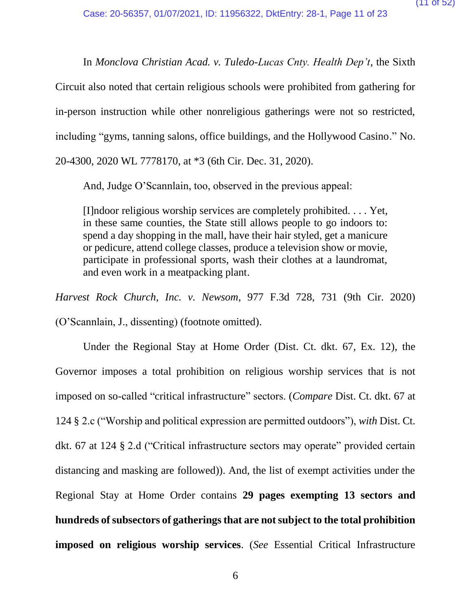In *Monclova Christian Acad. v. Tuledo-Lucas Cnty. Health Dep't*, the Sixth Circuit also noted that certain religious schools were prohibited from gathering for in-person instruction while other nonreligious gatherings were not so restricted, including "gyms, tanning salons, office buildings, and the Hollywood Casino." No. 20-4300, 2020 WL 7778170, at \*3 (6th Cir. Dec. 31, 2020).

And, Judge O'Scannlain, too, observed in the previous appeal:

[I]ndoor religious worship services are completely prohibited. . . . Yet, in these same counties, the State still allows people to go indoors to: spend a day shopping in the mall, have their hair styled, get a manicure or pedicure, attend college classes, produce a television show or movie, participate in professional sports, wash their clothes at a laundromat, and even work in a meatpacking plant.

*Harvest Rock Church, Inc. v. Newsom*, 977 F.3d 728, 731 (9th Cir. 2020) (O'Scannlain, J., dissenting) (footnote omitted).

Under the Regional Stay at Home Order (Dist. Ct. dkt. 67, Ex. 12), the Governor imposes a total prohibition on religious worship services that is not imposed on so-called "critical infrastructure" sectors. (*Compare* Dist. Ct. dkt. 67 at 124 § 2.c ("Worship and political expression are permitted outdoors"), *with* Dist. Ct. dkt. 67 at 124 § 2.d ("Critical infrastructure sectors may operate" provided certain distancing and masking are followed)). And, the list of exempt activities under the Regional Stay at Home Order contains **29 pages exempting 13 sectors and hundreds of subsectors of gatherings that are not subject to the total prohibition imposed on religious worship services**. (*See* Essential Critical Infrastructure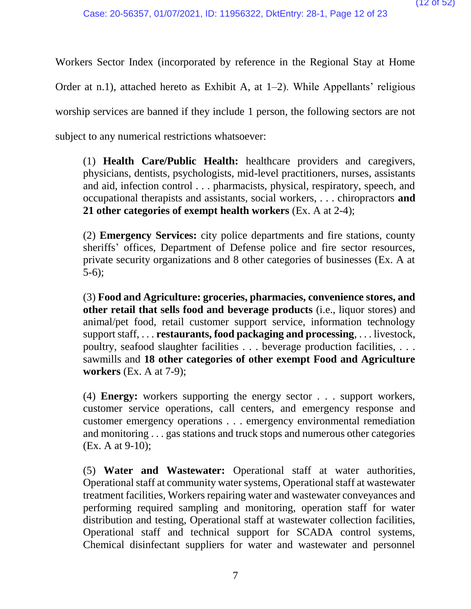Workers Sector Index (incorporated by reference in the Regional Stay at Home Order at n.1), attached hereto as Exhibit A, at 1–2). While Appellants' religious worship services are banned if they include 1 person, the following sectors are not subject to any numerical restrictions whatsoever:

(1) **Health Care/Public Health:** healthcare providers and caregivers, physicians, dentists, psychologists, mid-level practitioners, nurses, assistants and aid, infection control . . . pharmacists, physical, respiratory, speech, and occupational therapists and assistants, social workers, . . . chiropractors **and 21 other categories of exempt health workers** (Ex. A at 2-4);

(2) **Emergency Services:** city police departments and fire stations, county sheriffs' offices, Department of Defense police and fire sector resources, private security organizations and 8 other categories of businesses (Ex. A at 5-6);

(3) **Food and Agriculture: groceries, pharmacies, convenience stores, and other retail that sells food and beverage products** (i.e., liquor stores) and animal/pet food, retail customer support service, information technology support staff, . . . **restaurants, food packaging and processing**, . . . livestock, poultry, seafood slaughter facilities . . . beverage production facilities, . . . sawmills and **18 other categories of other exempt Food and Agriculture workers** (Ex. A at 7-9);

(4) **Energy:** workers supporting the energy sector . . . support workers, customer service operations, call centers, and emergency response and customer emergency operations . . . emergency environmental remediation and monitoring . . . gas stations and truck stops and numerous other categories (Ex. A at 9-10);

(5) **Water and Wastewater:** Operational staff at water authorities, Operational staff at community water systems, Operational staff at wastewater treatment facilities, Workers repairing water and wastewater conveyances and performing required sampling and monitoring, operation staff for water distribution and testing, Operational staff at wastewater collection facilities, Operational staff and technical support for SCADA control systems, Chemical disinfectant suppliers for water and wastewater and personnel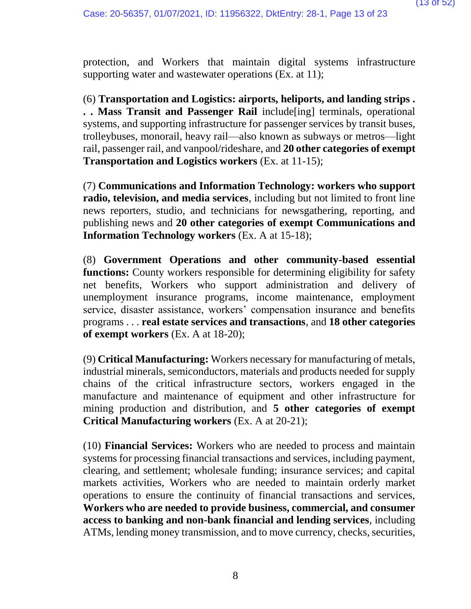protection, and Workers that maintain digital systems infrastructure supporting water and wastewater operations (Ex. at 11);

(6) **Transportation and Logistics: airports, heliports, and landing strips . . . Mass Transit and Passenger Rail** include[ing] terminals, operational systems, and supporting infrastructure for passenger services by transit buses, trolleybuses, monorail, heavy rail—also known as subways or metros—light rail, passenger rail, and vanpool/rideshare, and **20 other categories of exempt Transportation and Logistics workers** (Ex. at 11-15);

(7) **Communications and Information Technology: workers who support radio, television, and media services**, including but not limited to front line news reporters, studio, and technicians for newsgathering, reporting, and publishing news and **20 other categories of exempt Communications and Information Technology workers** (Ex. A at 15-18);

(8) **Government Operations and other community-based essential functions:** County workers responsible for determining eligibility for safety net benefits, Workers who support administration and delivery of unemployment insurance programs, income maintenance, employment service, disaster assistance, workers' compensation insurance and benefits programs . . . **real estate services and transactions**, and **18 other categories of exempt workers** (Ex. A at 18-20);

(9) **Critical Manufacturing:** Workers necessary for manufacturing of metals, industrial minerals, semiconductors, materials and products needed for supply chains of the critical infrastructure sectors, workers engaged in the manufacture and maintenance of equipment and other infrastructure for mining production and distribution, and **5 other categories of exempt Critical Manufacturing workers** (Ex. A at 20-21);

(10) **Financial Services:** Workers who are needed to process and maintain systems for processing financial transactions and services, including payment, clearing, and settlement; wholesale funding; insurance services; and capital markets activities, Workers who are needed to maintain orderly market operations to ensure the continuity of financial transactions and services, **Workers who are needed to provide business, commercial, and consumer access to banking and non-bank financial and lending services**, including ATMs, lending money transmission, and to move currency, checks, securities,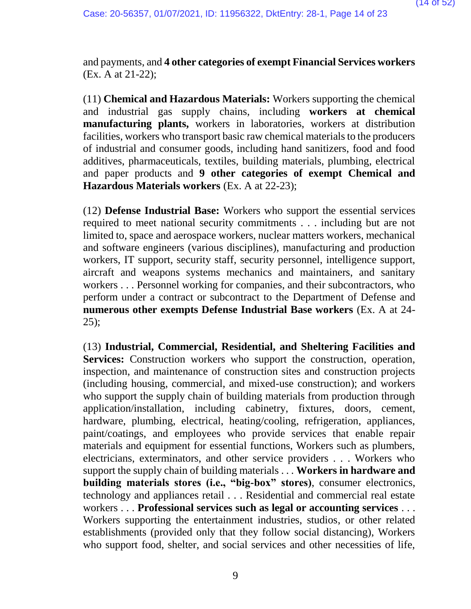and payments, and **4 other categories of exempt Financial Services workers**  (Ex. A at 21-22);

(11) **Chemical and Hazardous Materials:** Workers supporting the chemical and industrial gas supply chains, including **workers at chemical manufacturing plants,** workers in laboratories, workers at distribution facilities, workers who transport basic raw chemical materials to the producers of industrial and consumer goods, including hand sanitizers, food and food additives, pharmaceuticals, textiles, building materials, plumbing, electrical and paper products and **9 other categories of exempt Chemical and Hazardous Materials workers** (Ex. A at 22-23);

(12) **Defense Industrial Base:** Workers who support the essential services required to meet national security commitments . . . including but are not limited to, space and aerospace workers, nuclear matters workers, mechanical and software engineers (various disciplines), manufacturing and production workers, IT support, security staff, security personnel, intelligence support, aircraft and weapons systems mechanics and maintainers, and sanitary workers . . . Personnel working for companies, and their subcontractors, who perform under a contract or subcontract to the Department of Defense and **numerous other exempts Defense Industrial Base workers** (Ex. A at 24-  $25$ );

(13) **Industrial, Commercial, Residential, and Sheltering Facilities and Services:** Construction workers who support the construction, operation, inspection, and maintenance of construction sites and construction projects (including housing, commercial, and mixed-use construction); and workers who support the supply chain of building materials from production through application/installation, including cabinetry, fixtures, doors, cement, hardware, plumbing, electrical, heating/cooling, refrigeration, appliances, paint/coatings, and employees who provide services that enable repair materials and equipment for essential functions, Workers such as plumbers, electricians, exterminators, and other service providers . . . Workers who support the supply chain of building materials . . . **Workers in hardware and building materials stores (i.e., "big-box" stores)**, consumer electronics, technology and appliances retail . . . Residential and commercial real estate workers . . . **Professional services such as legal or accounting services** . . . Workers supporting the entertainment industries, studios, or other related establishments (provided only that they follow social distancing), Workers who support food, shelter, and social services and other necessities of life,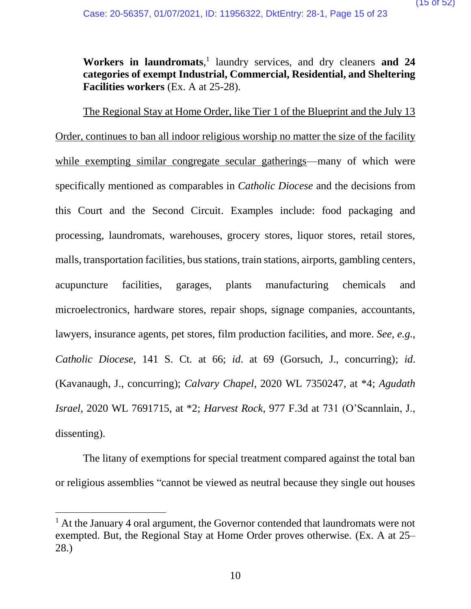Workers in laundromats,<sup>1</sup> laundry services, and dry cleaners and 24 **categories of exempt Industrial, Commercial, Residential, and Sheltering Facilities workers** (Ex. A at 25-28).

The Regional Stay at Home Order, like Tier 1 of the Blueprint and the July 13 Order, continues to ban all indoor religious worship no matter the size of the facility while exempting similar congregate secular gatherings—many of which were specifically mentioned as comparables in *Catholic Diocese* and the decisions from this Court and the Second Circuit. Examples include: food packaging and processing, laundromats, warehouses, grocery stores, liquor stores, retail stores, malls, transportation facilities, bus stations, train stations, airports, gambling centers, acupuncture facilities, garages, plants manufacturing chemicals and microelectronics, hardware stores, repair shops, signage companies, accountants, lawyers, insurance agents, pet stores, film production facilities, and more. *See, e.g., Catholic Diocese*, 141 S. Ct. at 66; *id*. at 69 (Gorsuch, J., concurring); *id*. (Kavanaugh, J., concurring); *Calvary Chapel*, 2020 WL 7350247, at \*4; *Agudath Israel*, 2020 WL 7691715, at \*2; *Harvest Rock*, 977 F.3d at 731 (O'Scannlain, J., dissenting).

The litany of exemptions for special treatment compared against the total ban or religious assemblies "cannot be viewed as neutral because they single out houses

 $\overline{\phantom{a}}$ 

 $<sup>1</sup>$  At the January 4 oral argument, the Governor contended that laundromats were not</sup> exempted. But, the Regional Stay at Home Order proves otherwise. (Ex. A at 25– 28.)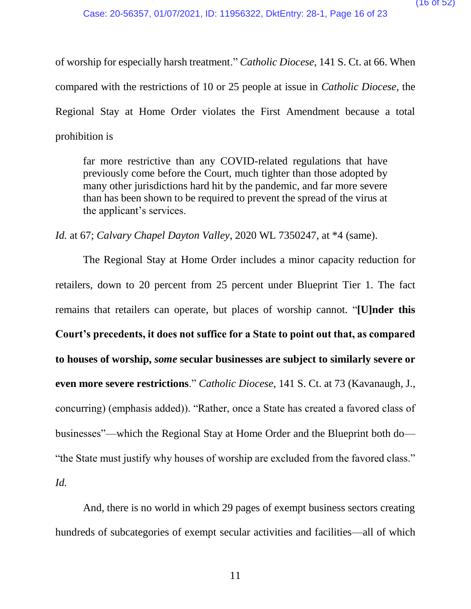of worship for especially harsh treatment." *Catholic Diocese,* 141 S. Ct. at 66. When compared with the restrictions of 10 or 25 people at issue in *Catholic Diocese*, the Regional Stay at Home Order violates the First Amendment because a total prohibition is

far more restrictive than any COVID-related regulations that have previously come before the Court, much tighter than those adopted by many other jurisdictions hard hit by the pandemic, and far more severe than has been shown to be required to prevent the spread of the virus at the applicant's services.

*Id.* at 67; *Calvary Chapel Dayton Valley*, 2020 WL 7350247, at \*4 (same).

The Regional Stay at Home Order includes a minor capacity reduction for retailers, down to 20 percent from 25 percent under Blueprint Tier 1. The fact remains that retailers can operate, but places of worship cannot. "**[U]nder this Court's precedents, it does not suffice for a State to point out that, as compared to houses of worship,** *some* **secular businesses are subject to similarly severe or even more severe restrictions**." *Catholic Diocese*, 141 S. Ct. at 73 (Kavanaugh, J., concurring) (emphasis added)). "Rather, once a State has created a favored class of businesses"—which the Regional Stay at Home Order and the Blueprint both do— "the State must justify why houses of worship are excluded from the favored class."

*Id.* 

And, there is no world in which 29 pages of exempt business sectors creating hundreds of subcategories of exempt secular activities and facilities—all of which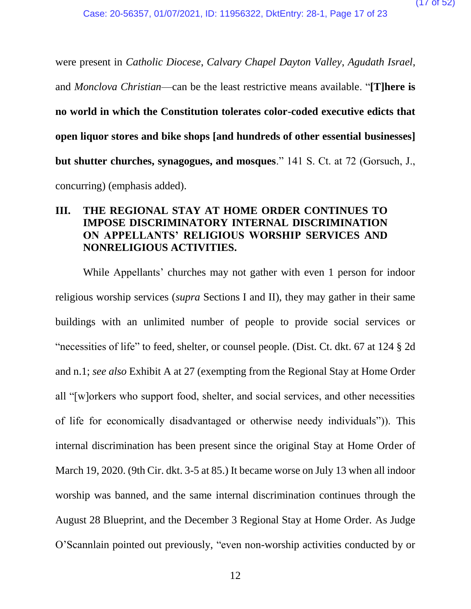were present in *Catholic Diocese*, *Calvary Chapel Dayton Valley*, *Agudath Israel*, and *Monclova Christian*—can be the least restrictive means available. "**[T]here is no world in which the Constitution tolerates color-coded executive edicts that open liquor stores and bike shops [and hundreds of other essential businesses] but shutter churches, synagogues, and mosques**." 141 S. Ct. at 72 (Gorsuch, J., concurring) (emphasis added).

### **III. THE REGIONAL STAY AT HOME ORDER CONTINUES TO IMPOSE DISCRIMINATORY INTERNAL DISCRIMINATION ON APPELLANTS' RELIGIOUS WORSHIP SERVICES AND NONRELIGIOUS ACTIVITIES.**

While Appellants' churches may not gather with even 1 person for indoor religious worship services (*supra* Sections I and II), they may gather in their same buildings with an unlimited number of people to provide social services or "necessities of life" to feed, shelter, or counsel people. (Dist. Ct. dkt. 67 at 124 § 2d and n.1; *see also* Exhibit A at 27 (exempting from the Regional Stay at Home Order all "[w]orkers who support food, shelter, and social services, and other necessities of life for economically disadvantaged or otherwise needy individuals")). This internal discrimination has been present since the original Stay at Home Order of March 19, 2020. (9th Cir. dkt. 3-5 at 85.) It became worse on July 13 when all indoor worship was banned, and the same internal discrimination continues through the August 28 Blueprint, and the December 3 Regional Stay at Home Order. As Judge O'Scannlain pointed out previously, "even non-worship activities conducted by or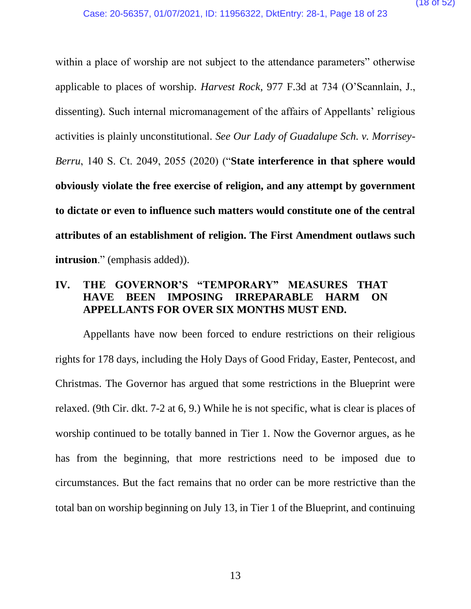within a place of worship are not subject to the attendance parameters" otherwise applicable to places of worship. *Harvest Rock*, 977 F.3d at 734 (O'Scannlain, J., dissenting). Such internal micromanagement of the affairs of Appellants' religious activities is plainly unconstitutional. *See Our Lady of Guadalupe Sch. v. Morrisey-Berru*, 140 S. Ct. 2049, 2055 (2020) ("**State interference in that sphere would obviously violate the free exercise of religion, and any attempt by government to dictate or even to influence such matters would constitute one of the central attributes of an establishment of religion. The First Amendment outlaws such intrusion**." (emphasis added)).

### **IV. THE GOVERNOR'S "TEMPORARY" MEASURES THAT HAVE BEEN IMPOSING IRREPARABLE HARM ON APPELLANTS FOR OVER SIX MONTHS MUST END.**

Appellants have now been forced to endure restrictions on their religious rights for 178 days, including the Holy Days of Good Friday, Easter, Pentecost, and Christmas. The Governor has argued that some restrictions in the Blueprint were relaxed. (9th Cir. dkt. 7-2 at 6, 9.) While he is not specific, what is clear is places of worship continued to be totally banned in Tier 1. Now the Governor argues, as he has from the beginning, that more restrictions need to be imposed due to circumstances. But the fact remains that no order can be more restrictive than the total ban on worship beginning on July 13, in Tier 1 of the Blueprint, and continuing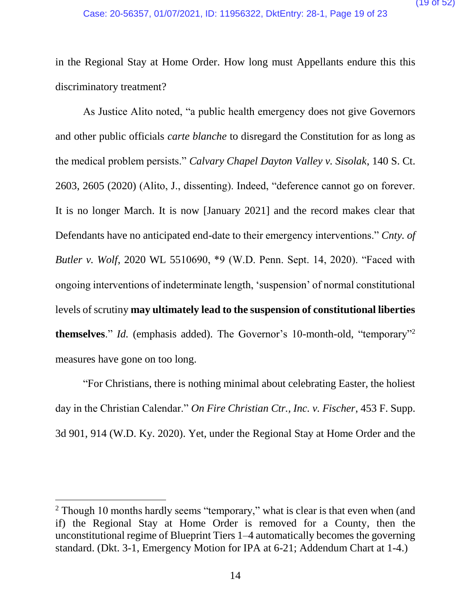in the Regional Stay at Home Order. How long must Appellants endure this this discriminatory treatment?

As Justice Alito noted, "a public health emergency does not give Governors and other public officials *carte blanche* to disregard the Constitution for as long as the medical problem persists." *Calvary Chapel Dayton Valley v. Sisolak*, 140 S. Ct. 2603, 2605 (2020) (Alito, J., dissenting). Indeed, "deference cannot go on forever. It is no longer March. It is now [January 2021] and the record makes clear that Defendants have no anticipated end-date to their emergency interventions." *Cnty. of Butler v. Wolf*, 2020 WL 5510690, \*9 (W.D. Penn. Sept. 14, 2020). "Faced with ongoing interventions of indeterminate length, 'suspension' of normal constitutional levels of scrutiny **may ultimately lead to the suspension of constitutional liberties themselves**." *Id.* (emphasis added). The Governor's 10-month-old, "temporary"<sup>2</sup> measures have gone on too long.

"For Christians, there is nothing minimal about celebrating Easter, the holiest day in the Christian Calendar." *On Fire Christian Ctr., Inc. v. Fischer*, 453 F. Supp. 3d 901, 914 (W.D. Ky. 2020). Yet, under the Regional Stay at Home Order and the

 $\overline{\phantom{a}}$ 

<sup>&</sup>lt;sup>2</sup> Though 10 months hardly seems "temporary," what is clear is that even when (and if) the Regional Stay at Home Order is removed for a County, then the unconstitutional regime of Blueprint Tiers 1–4 automatically becomes the governing standard. (Dkt. 3-1, Emergency Motion for IPA at 6-21; Addendum Chart at 1-4.)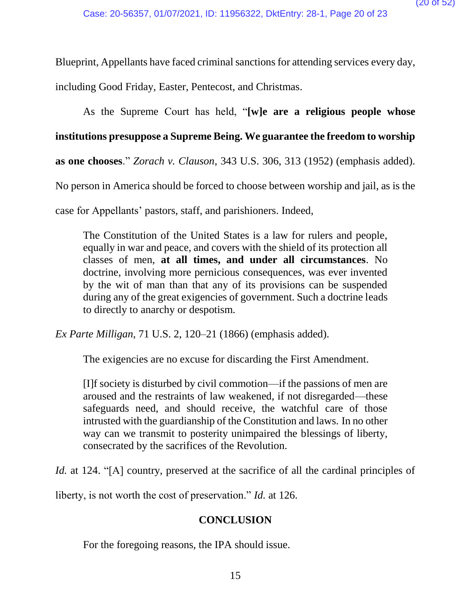Blueprint, Appellants have faced criminal sanctions for attending services every day,

including Good Friday, Easter, Pentecost, and Christmas.

As the Supreme Court has held, "**[w]e are a religious people whose institutions presuppose a Supreme Being. We guarantee the freedom to worship as one chooses**." *Zorach v. Clauson*, 343 U.S. 306, 313 (1952) (emphasis added). No person in America should be forced to choose between worship and jail, as is the case for Appellants' pastors, staff, and parishioners. Indeed,

The Constitution of the United States is a law for rulers and people, equally in war and peace, and covers with the shield of its protection all classes of men, **at all times, and under all circumstances**. No doctrine, involving more pernicious consequences, was ever invented by the wit of man than that any of its provisions can be suspended during any of the great exigencies of government. Such a doctrine leads to directly to anarchy or despotism.

*Ex Parte Milligan*, 71 U.S. 2, 120–21 (1866) (emphasis added).

The exigencies are no excuse for discarding the First Amendment.

[I]f society is disturbed by civil commotion—if the passions of men are aroused and the restraints of law weakened, if not disregarded—these safeguards need, and should receive, the watchful care of those intrusted with the guardianship of the Constitution and laws. In no other way can we transmit to posterity unimpaired the blessings of liberty, consecrated by the sacrifices of the Revolution.

*Id.* at 124. "[A] country, preserved at the sacrifice of all the cardinal principles of

liberty, is not worth the cost of preservation." *Id.* at 126.

### **CONCLUSION**

For the foregoing reasons, the IPA should issue.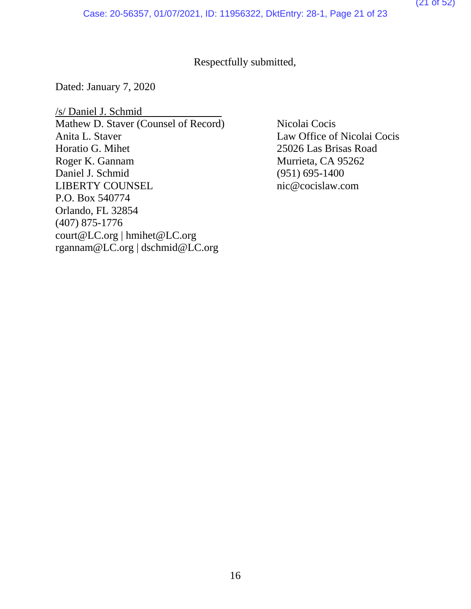### Respectfully submitted,

Dated: January 7, 2020

/s/ Daniel J. Schmid Mathew D. Staver (Counsel of Record) Nicolai Cocis Anita L. Staver Law Office of Nicolai Cocis Horatio G. Mihet 25026 Las Brisas Road Roger K. Gannam Murrieta, CA 95262 Daniel J. Schmid (951) 695-1400 LIBERTY COUNSEL nic@cocislaw.com P.O. Box 540774 Orlando, FL 32854 (407) 875-1776 court@LC.org | hmihet@LC.org rgannam@LC.org | dschmid@LC.org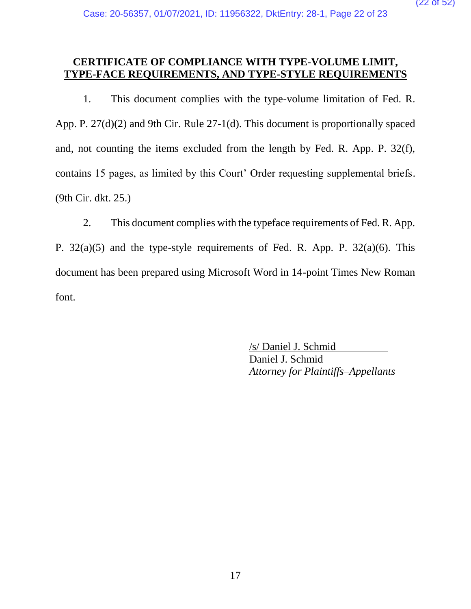### **CERTIFICATE OF COMPLIANCE WITH TYPE-VOLUME LIMIT, TYPE-FACE REQUIREMENTS, AND TYPE-STYLE REQUIREMENTS**

1. This document complies with the type-volume limitation of Fed. R. App. P. 27(d)(2) and 9th Cir. Rule 27-1(d). This document is proportionally spaced and, not counting the items excluded from the length by Fed. R. App. P. 32(f), contains 15 pages, as limited by this Court' Order requesting supplemental briefs. (9th Cir. dkt. 25.)

2. This document complies with the typeface requirements of Fed. R. App. P.  $32(a)(5)$  and the type-style requirements of Fed. R. App. P.  $32(a)(6)$ . This document has been prepared using Microsoft Word in 14-point Times New Roman font.

> /s/ Daniel J. Schmid Daniel J. Schmid *Attorney for Plaintiffs–Appellants*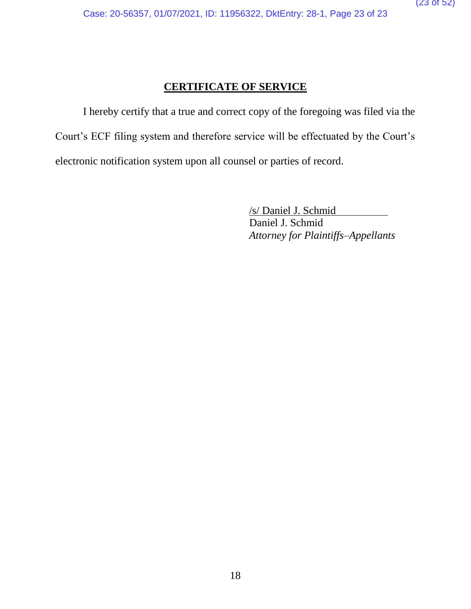### **CERTIFICATE OF SERVICE**

I hereby certify that a true and correct copy of the foregoing was filed via the Court's ECF filing system and therefore service will be effectuated by the Court's electronic notification system upon all counsel or parties of record.

> /s/ Daniel J. Schmid Daniel J. Schmid *Attorney for Plaintiffs–Appellants*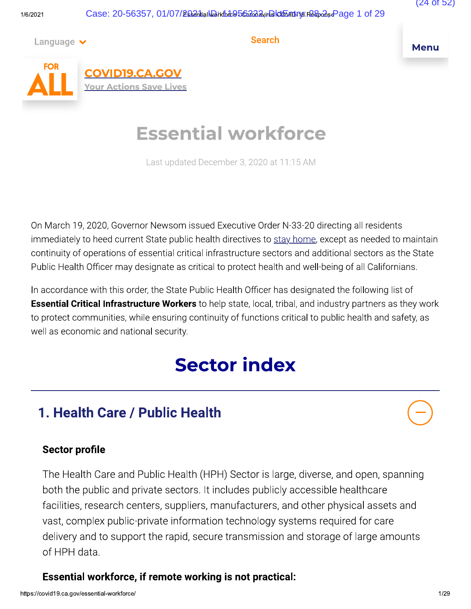Language  $\vee$ 

**Search** 

**Menu** 



**COVID19.CA.GOV Your Actions Save Lives** 

# **Essential workforce**

Last updated December 3, 2020 at 11:15 AM

On March 19, 2020, Governor Newsom issued Executive Order N-33-20 directing all residents immediately to heed current State public health directives to stay home, except as needed to maintain continuity of operations of essential critical infrastructure sectors and additional sectors as the State Public Health Officer may designate as critical to protect health and well-being of all Californians.

In accordance with this order, the State Public Health Officer has designated the following list of **Essential Critical Infrastructure Workers** to help state, local, tribal, and industry partners as they work to protect communities, while ensuring continuity of functions critical to public health and safety, as well as economic and national security.

# **Sector index**

# 1. Health Care / Public Health

### **Sector profile**

The Health Care and Public Health (HPH) Sector is large, diverse, and open, spanning both the public and private sectors. It includes publicly accessible healthcare facilities, research centers, suppliers, manufacturers, and other physical assets and vast, complex public-private information technology systems required for care delivery and to support the rapid, secure transmission and storage of large amounts of HPH data

### Essential workforce, if remote working is not practical: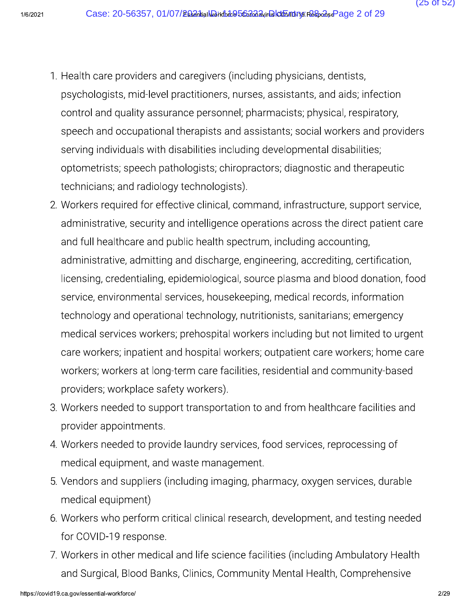- (25 of 52)
- 1. Health care providers and caregivers (including physicians, dentists, psychologists, mid-level practitioners, nurses, assistants, and aids; infection control and quality assurance personnel; pharmacists; physical, respiratory, speech and occupational therapists and assistants; social workers and providers serving individuals with disabilities including developmental disabilities; optometrists; speech pathologists; chiropractors; diagnostic and therapeutic technicians; and radiology technologists).
- 2. Workers required for effective clinical, command, infrastructure, support service, administrative, security and intelligence operations across the direct patient care and full healthcare and public health spectrum, including accounting, administrative, admitting and discharge, engineering, accrediting, certification, licensing, credentialing, epidemiological, source plasma and blood donation, food service, environmental services, housekeeping, medical records, information technology and operational technology, nutritionists, sanitarians; emergency medical services workers; prehospital workers including but not limited to urgent care workers; inpatient and hospital workers; outpatient care workers; home care workers; workers at long-term care facilities, residential and community-based providers; workplace safety workers).
- 3. Workers needed to support transportation to and from healthcare facilities and provider appointments.
- 4. Workers needed to provide laundry services, food services, reprocessing of medical equipment, and waste management.
- 5. Vendors and suppliers (including imaging, pharmacy, oxygen services, durable medical equipment)
- 6. Workers who perform critical clinical research, development, and testing needed for COVID-19 response.
- 7. Workers in other medical and life science facilities (including Ambulatory Health and Surgical, Blood Banks, Clinics, Community Mental Health, Comprehensive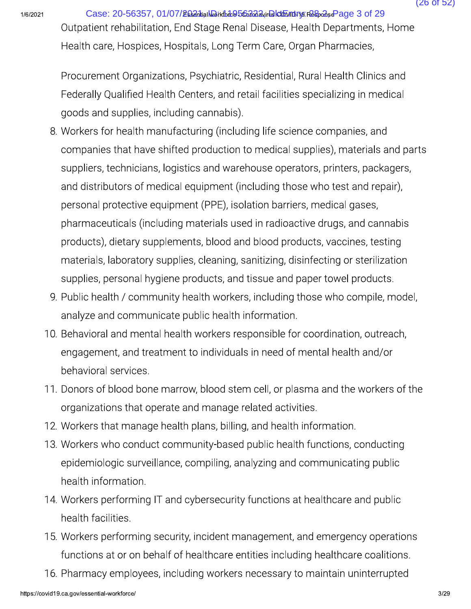Case: 20-56357, 01/07/2684 hial Workforke 56364 Avir Bld Engines Response Page 3 of 29 Outpatient rehabilitation, End Stage Renal Disease, Health Departments, Home Health care, Hospices, Hospitals, Long Term Care, Organ Pharmacies,

Procurement Organizations, Psychiatric, Residential, Rural Health Clinics and Federally Qualified Health Centers, and retail facilities specializing in medical goods and supplies, including cannabis).

- 8. Workers for health manufacturing (including life science companies, and companies that have shifted production to medical supplies), materials and parts suppliers, technicians, logistics and warehouse operators, printers, packagers, and distributors of medical equipment (including those who test and repair), personal protective equipment (PPE), isolation barriers, medical gases, pharmaceuticals (including materials used in radioactive drugs, and cannabis products), dietary supplements, blood and blood products, vaccines, testing materials, laboratory supplies, cleaning, sanitizing, disinfecting or sterilization supplies, personal hygiene products, and tissue and paper towel products.
- 9. Public health / community health workers, including those who compile, model, analyze and communicate public health information.
- 10. Behavioral and mental health workers responsible for coordination, outreach, engagement, and treatment to individuals in need of mental health and/or behavioral services.
- 11. Donors of blood bone marrow, blood stem cell, or plasma and the workers of the organizations that operate and manage related activities.
- 12. Workers that manage health plans, billing, and health information.
- 13. Workers who conduct community-based public health functions, conducting epidemiologic surveillance, compiling, analyzing and communicating public health information.
- 14. Workers performing IT and cybersecurity functions at healthcare and public health facilities.
- 15. Workers performing security, incident management, and emergency operations functions at or on behalf of healthcare entities including healthcare coalitions.
- 16. Pharmacy employees, including workers necessary to maintain uninterrupted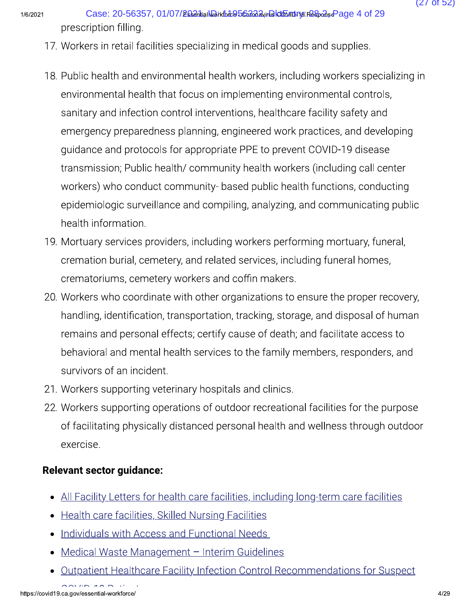Case: 20-56357, 01/07/2684 filal Work for the 56368 wir Dalot man a Response Page 4 of 29 prescription filling.

- 17. Workers in retail facilities specializing in medical goods and supplies.
- 18. Public health and environmental health workers, including workers specializing in environmental health that focus on implementing environmental controls, sanitary and infection control interventions, healthcare facility safety and emergency preparedness planning, engineered work practices, and developing quidance and protocols for appropriate PPE to prevent COVID-19 disease transmission; Public health/ community health workers (including call center workers) who conduct community- based public health functions, conducting epidemiologic surveillance and compiling, analyzing, and communicating public health information.
- 19. Mortuary services providers, including workers performing mortuary, funeral, cremation burial, cemetery, and related services, including funeral homes, crematoriums, cemetery workers and coffin makers.
- 20. Workers who coordinate with other organizations to ensure the proper recovery, handling, identification, transportation, tracking, storage, and disposal of human remains and personal effects; certify cause of death; and facilitate access to behavioral and mental health services to the family members, responders, and survivors of an incident.
- 21. Workers supporting veterinary hospitals and clinics.
- 22. Workers supporting operations of outdoor recreational facilities for the purpose of facilitating physically distanced personal health and wellness through outdoor exercise.

### **Relevant sector guidance:**

- All Facility Letters for health care facilities, including long-term care facilities
- Health care facilities, Skilled Nursing Facilities
- Individuals with Access and Functional Needs
- Medical Waste Management Interim Guidelines
- Outpatient Healthcare Facility Infection Control Recommendations for Suspect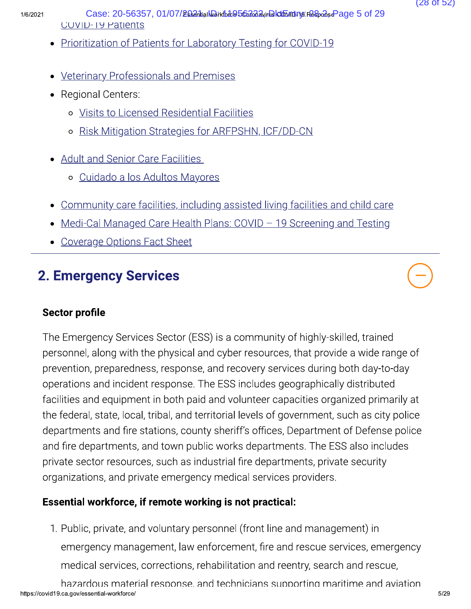$1/6/2$ 

 
  Case: 20-56357, 01/07/2021, ID: 11956322, DktEntry: 28-2, Page 5 of 29 1/6/2021 Case: 20-56357, 01/1<br>
COVID-19 Patients<br>
• Prioritization of Patients<br>
• Veterinary Professionals<br>
• Regional Centers:<br>
• Visits to Licensed Re Case: 20-56357, 01/07/26821.<br>COVID-19 Patients<br>Prioritization of Patients for Laboratory Testing for COVID-19<br>Prioritization of Patients for Laboratory Testing for COVID-19<br>Veterinary Professionals and Premises<br>Regional Ce

- 
- Veterinary Professionals and Premises
- Regional Centers:
	- o Visits to Licensed Residential Facilities
	- o Risk Mitigation Strategies for ARFPSHN, ICF/DD-CN
- Adult and Senior Care Facilities
	- o Cuidado a los Adultos Mayores
- Community care facilities, including assisted living facilities and child care ○ Risk Mitigation Strategies for ARFPSHN, ICF/DD-CN<br>Adult and Senior Care Facilities<br>○ Cuidado a los Adultos Mayores<br>Community care facilities, including assisted living facilities and child care<br>Medi-Cal Managed Care Hea
- 
- 

# 2. Emergency Services

### Sector profile

<ul>\n<li>Adult and Senior Care Facilities</li>\n<li>Cuidado a los Adultos Mayor</li>\n<li>Community care facilities, included</li>\n<li>Medi-Cal Managed Care Health P</li>\n<li>Coverage Options Fact Sheet</li>\n</ul>\n<p><b>2. Emergency Services</b></p>\n<p><b>Sectione</b></p>\n<p>The Energy Services Sector (ESS)</p> The Emergency Services Sector (ESS) is a community of highly-skilled, trained personnel, along with the physical and cyber resources, that provide a wide range of prevention, preparedness, response, and recovery services during both day-to-day operations and incident response. The ESS includes geographically distributed facilities and equipment in both paid and volunteer capacities organized primarily at the federal, state, local, tribal, and territorial levels of government, such as city police departments and fire stations, county sheriff's offices, Department of Defense police and fire departments, and town public works departments. The ESS also includes private sector resources, such as industrial fire departments, private security organizations, and private emergency medical services providers.

### Essential workforce, if remote working is not practical:

1. Public, private, and voluntary personnel (front line and management) in emergency management, law enforcement, fire and rescue services, emergency medical services, corrections, rehabilitation and reentry, search and rescue,

https://covid19.ca.gov/essential-workforce/  $5/2$ hazardous material response, and technicians supporting maritime and aviation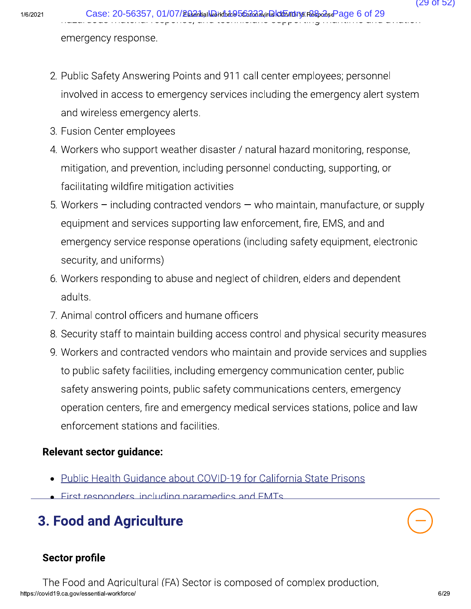emergency response.

- 2. Public Safety Answering Points and 911 call center employees; personnel involved in access to emergency services including the emergency alert system and wireless emergency alerts.
- 3. Fusion Center employees
- 4. Workers who support weather disaster / natural hazard monitoring, response, mitigation, and prevention, including personnel conducting, supporting, or facilitating wildfire mitigation activities
- 5. Workers including contracted vendors who maintain, manufacture, or supply equipment and services supporting law enforcement, fire, EMS, and and emergency service response operations (including safety equipment, electronic security, and uniforms)
- 6. Workers responding to abuse and neglect of children, elders and dependent adults.
- 7. Animal control officers and humane officers
- 8. Security staff to maintain building access control and physical security measures
- 9. Workers and contracted vendors who maintain and provide services and supplies to public safety facilities, including emergency communication center, public safety answering points, public safety communications centers, emergency operation centers, fire and emergency medical services stations, police and law enforcement stations and facilities.

### **Relevant sector guidance:**

- Public Health Guidance about COVID-19 for California State Prisons
- First responders including paramedics and FMTs

# **3. Food and Agriculture**

### **Sector profile**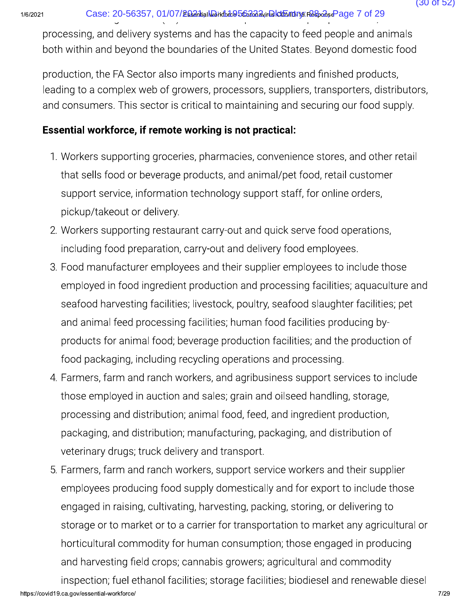Case: 20-56357, 01/07/268antialNoirkfofc@56anadayirDaktonTurnarRespansePage 7 of 29

processing, and delivery systems and has the capacity to feed people and animals both within and beyond the boundaries of the United States. Beyond domestic food

production, the FA Sector also imports many ingredients and finished products, leading to a complex web of growers, processors, suppliers, transporters, distributors, and consumers. This sector is critical to maintaining and securing our food supply.

### Essential workforce, if remote working is not practical:

- 1. Workers supporting groceries, pharmacies, convenience stores, and other retail that sells food or beverage products, and animal/pet food, retail customer support service, information technology support staff, for online orders, pickup/takeout or delivery.
- 2. Workers supporting restaurant carry-out and quick serve food operations, including food preparation, carry-out and delivery food employees.
- 3. Food manufacturer employees and their supplier employees to include those employed in food ingredient production and processing facilities; aquaculture and seafood harvesting facilities; livestock, poultry, seafood slaughter facilities; pet and animal feed processing facilities; human food facilities producing byproducts for animal food; beverage production facilities; and the production of food packaging, including recycling operations and processing.
- 4. Farmers, farm and ranch workers, and agribusiness support services to include those employed in auction and sales; grain and oilseed handling, storage, processing and distribution; animal food, feed, and ingredient production, packaging, and distribution; manufacturing, packaging, and distribution of veterinary drugs; truck delivery and transport.
- 5. Farmers, farm and ranch workers, support service workers and their supplier employees producing food supply domestically and for export to include those engaged in raising, cultivating, harvesting, packing, storing, or delivering to storage or to market or to a carrier for transportation to market any agricultural or horticultural commodity for human consumption; those engaged in producing and harvesting field crops; cannabis growers; agricultural and commodity inspection; fuel ethanol facilities; storage facilities; biodiesel and renewable diesel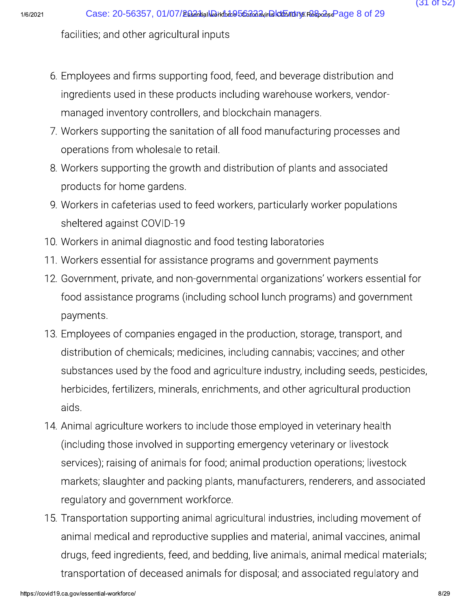facilities; and other agricultural inputs

- 6. Employees and firms supporting food, feed, and beverage distribution and ingredients used in these products including warehouse workers, vendormanaged inventory controllers, and blockchain managers.
- 7. Workers supporting the sanitation of all food manufacturing processes and operations from wholesale to retail.
- 8. Workers supporting the growth and distribution of plants and associated products for home gardens.
- 9. Workers in cafeterias used to feed workers, particularly worker populations sheltered against COVID-19
- 10. Workers in animal diagnostic and food testing laboratories
- 11. Workers essential for assistance programs and government payments
- 12. Government, private, and non-governmental organizations' workers essential for food assistance programs (including school lunch programs) and government payments.
- 13. Employees of companies engaged in the production, storage, transport, and distribution of chemicals; medicines, including cannabis; vaccines; and other substances used by the food and agriculture industry, including seeds, pesticides, herbicides, fertilizers, minerals, enrichments, and other agricultural production aids.
- 14. Animal agriculture workers to include those employed in veterinary health (including those involved in supporting emergency veterinary or livestock services); raising of animals for food; animal production operations; livestock markets; slaughter and packing plants, manufacturers, renderers, and associated regulatory and government workforce.
- 15. Transportation supporting animal agricultural industries, including movement of animal medical and reproductive supplies and material, animal vaccines, animal drugs, feed ingredients, feed, and bedding, live animals, animal medical materials; transportation of deceased animals for disposal; and associated regulatory and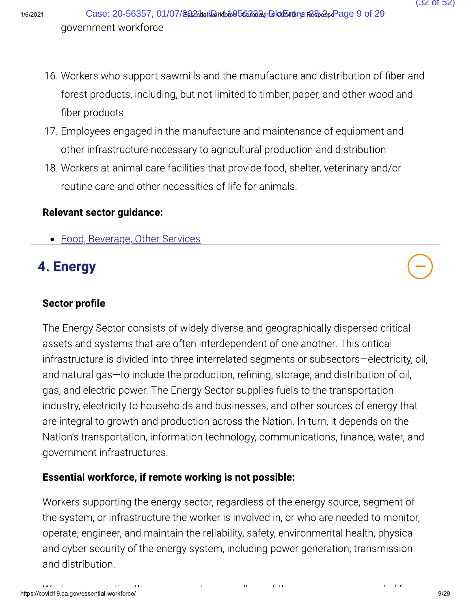- 16. Workers who support sawmills and the manufacture and distribution of fiber and forest products, including, but not limited to timber, paper, and other wood and fiber products
- 17. Employees engaged in the manufacture and maintenance of equipment and other infrastructure necessary to agricultural production and distribution
- 18. Workers at animal care facilities that provide food, shelter, veterinary and/or routine care and other necessities of life for animals.

### **Relevant sector guidance:**

• Food, Beverage, Other Services

# 4. Energy

### **Sector profile**

The Energy Sector consists of widely diverse and geographically dispersed critical assets and systems that are often interdependent of one another. This critical infrastructure is divided into three interrelated segments or subsectors-electricity, oil, and natural gas-to include the production, refining, storage, and distribution of oil, gas, and electric power. The Energy Sector supplies fuels to the transportation industry, electricity to households and businesses, and other sources of energy that are integral to growth and production across the Nation. In turn, it depends on the Nation's transportation, information technology, communications, finance, water, and government infrastructures.

### Essential workforce, if remote working is not possible:

Workers supporting the energy sector, regardless of the energy source, segment of the system, or infrastructure the worker is involved in, or who are needed to monitor, operate, engineer, and maintain the reliability, safety, environmental health, physical and cyber security of the energy system, including power generation, transmission and distribution.

 $(32 \text{ of } 52)$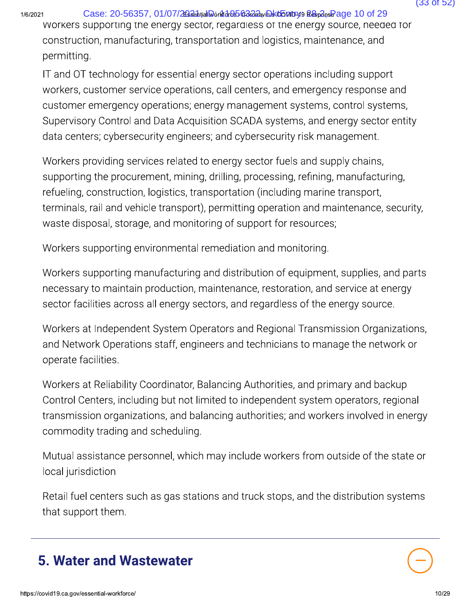Case: 20-56357, 01/07/28364<sub>Nd</sub>DorkdcB5&2624<sub>W</sub>DktBouty19 R&<sub>6</sub>G<sub>08</sub>Page 10 of 29<br>
Workers supporting the energy sector, regardless of the energy source, needed for<br>
construction, manufacturing, transportation and logistic Case: 20-56357, 01/07/26224 Made to 29<br>
Workers supporting the energy sector, regardless of the energy source, neede<br>
construction, manufacturing, transportation and logistics, maintenance, and<br>
permitting.<br>
IT and OT tech 1/6/2021 **Case: 20-56357, C**<br>
WOrkers supporting the e<br>
construction, manufactur<br>
permitting.<br>
IT and OT technology for<br>
workers, customer service<br>
customer emergency ope<br>
Supervisory Control and I<br>
data centers; cybersecu Case: 20-56357, 01/07/2024 May dia be a compared and to of 29<br>Workers supporting the energy sector, regardies of the energy source, needed for<br>construction, manufacturing, transportation and logistics, maintenance, and<br>per Case: 20-56357, 01/07/2024-balla-da-da-back-baby a Ba-da-Ba-da-Ba-da-Ba-da-Ba-da-Ba-da-Ba-da-Ba-da-Ba-da-Ba-da-Ba-da-Ba-da-Ba-da-Ba-da-Ba-da-Ba-da-Ba-da-Ba-da-Ba-da-Ba-da-Ba-da-Ba-da-Ba-da-Ba-da-Ba-da-Ba-da-Ba-da-Ba-da-Ba-Case: 20-56357, 01/07/2024, Data-de Bonde Article of the energy source, needed to the workers supporting the energy sector, regardiess of the energy source, needed for construction, manufacturing, transportation and logist workers supporting the energy sector, regardiess of the energy source, needed for<br>construction, manufacturing, transportation and logistics, maintenance, and<br>permitting.<br>IT and OT technology for essential energy sector ope construction, manufacturing, transportation and logistics, maintenance, and<br>permitting.<br>IT and OT technology for essential energy sector operations including support<br>workers, customer service operations, call centers, and IT and OT technology for essential energy sector operations including support<br>workers, customer service operations, call centers, and emergency response a<br>customer emergency operations; energy management systems, control s

workers, customer service operations, call centers, and emergency response and<br>workers, customer service operations; call centers, and emergency response and<br>customer emergency operations; energy management systems, contro Customer emergency operations; energy management systems, control systems, customer emergency operations; energy management systems, control systems, Supervisory Control and Data Acquisition SCADA systems, and energy secto supervisory Control and Data Acquisition SCADA systems, and energy sector entity<br>Supervisory Control and Data Acquisition SCADA systems, and energy sector entity<br>data centers; cybersecurity engineers; and cybersecurity ris state centers; cybersecurity engineers; and cybersecurity risk management.<br>Workers providing services related to energy sector fuels and supply chains,<br>supporting the procurement, mining, drilling, processing, refining, ma Workers providing services related to energy sector fuels and supply chains,<br>supporting the procurement, mining, drilling, processing, refining, manufacturing,<br>refueling, construction, logistics, transportation (including supporting the procurement, mining, drilling, processing, refining, manufacturing,<br>refueling, construction, logistics, transportation (including marine transport,<br>terminals, rail and vehicle transport), permitting operatio

refueling, construction, logistics, transportation (including marine transport,<br>terminals, rail and vehicle transport), permitting operation and maintenance, security,<br>waste disposal, storage, and monitoring of support for terminals, rail and vehicle transport), permitting operation and maintenance, security,<br>waste disposal, storage, and monitoring of support for resources;<br>Workers supporting environmental remediation and monitoring.<br>Workers

Workers supporting environmental remediation and monitoring.<br>Workers supporting manufacturing and distribution of equipment, supplies, and parts<br>necessary to maintain production, maintenance, restoration, and service at en Workers supporting environmental remediation and monitoring.<br>
Workers supporting manufacturing and distribution of equipment, supplies, and parts<br>
necessary to maintain production, maintenance, restoration, and service at Workers supporting manuf<br>necessary to maintain proc<br>sector facilities across all e<br>Workers at Independent Sy<br>and Network Operations st<br>operate facilities.<br>Workers at Reliability Coorc<br>Control Centers, including l<br>transmiss necessary to maintain production, maintenance, restoration, and service at energy<br>sector facilities across all energy sectors, and regardless of the energy source.<br>Workers at Independent System Operators and Regional Trans sector facilities across all energy sectors, and regardless of the energy source.<br>Workers at Independent System Operators and Regional Transmission Organizations,<br>and Network Operations staff, engineers and technicians to Workers at Independent System Operators and Regional Transmission Organizations,<br>and Network Operations staff, engineers and technicians to manage the network or<br>operate facilities.<br>Workers at Reliability Coordinator, Bala France at intepertactic system operator of the and Network Operations staff, engine<br>operate facilities.<br>Workers at Reliability Coordinator, Ba<br>Control Centers, including but not lim<br>transmission organizations, and balar<br>co operate facilities.<br>
Workers at Reliability Coordinator, Balancing Authorities, and primary and backup<br>
Control Centers, including but not limited to independent system operators, regional<br>
transmission organizations, and Workers at Reliability Coordina<br>
Control Centers, including but<br>
transmission organizations, ar<br>
commodity trading and sched<br>
Mutual assistance personnel,<br>
local jurisdiction<br>
Retail fuel centers such as gas<br>
that support Control Centers, including but not limited to independent system operators, regional<br>transmission organizations, and balancing authorities; and workers involved in energy<br>commodity trading and scheduling.<br>Mutual assistance



(33 of 52)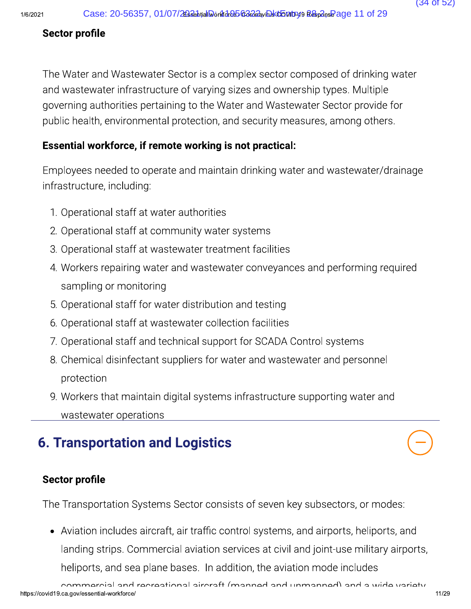### Sector profile

The Water and Wastewater Sector is a complex sector composed of drinking water and wastewater infrastructure of varying sizes and ownership types. Multiple governing authorities pertaining to the Water and Wastewater Sector provide for public health, environmental protection, and security measures, among others.

### Essential workforce, if remote working is not practical:

Employees needed to operate and maintain drinking water and wastewater/drainage infrastructure, including:

- 1. Operational staff at water authorities
- 2. Operational staff at community water systems
- 3. Operational staff at wastewater treatment facilities
- 4. Workers repairing water and wastewater conveyances and performing required sampling or monitoring
- 5. Operational staff for water distribution and testing
- 6. Operational staff at wastewater collection facilities
- 7. Operational staff and technical support for SCADA Control systems
- 8. Chemical disinfectant suppliers for water and wastewater and personnel protection
- 9. Workers that maintain digital systems infrastructure supporting water and wastewater operations

# **6. Transportation and Logistics**

### **Sector profile**

The Transportation Systems Sector consists of seven key subsectors, or modes:

• Aviation includes aircraft, air traffic control systems, and airports, heliports, and landing strips. Commercial aviation services at civil and joint-use military airports, heliports, and sea plane bases. In addition, the aviation mode includes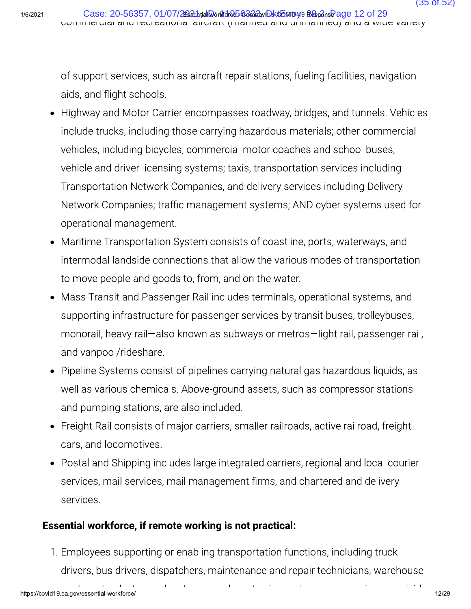of support services, such as aircraft repair stations, fueling facilities, navigation aids, and flight schools.

- Highway and Motor Carrier encompasses roadway, bridges, and tunnels. Vehicles include trucks, including those carrying hazardous materials; other commercial vehicles, including bicycles, commercial motor coaches and school buses; vehicle and driver licensing systems; taxis, transportation services including Transportation Network Companies, and delivery services including Delivery Network Companies; traffic management systems; AND cyber systems used for operational management.
- Maritime Transportation System consists of coastline, ports, waterways, and intermodal landside connections that allow the various modes of transportation to move people and goods to, from, and on the water.
- Mass Transit and Passenger Rail includes terminals, operational systems, and supporting infrastructure for passenger services by transit buses, trolleybuses, monorail, heavy rail—also known as subways or metros—light rail, passenger rail, and vanpool/rideshare.
- Pipeline Systems consist of pipelines carrying natural gas hazardous liquids, as well as various chemicals. Above-ground assets, such as compressor stations and pumping stations, are also included.
- Freight Rail consists of major carriers, smaller railroads, active railroad, freight cars, and locomotives.
- Postal and Shipping includes large integrated carriers, regional and local courier services, mail services, mail management firms, and chartered and delivery services.

### Essential workforce, if remote working is not practical:

1. Employees supporting or enabling transportation functions, including truck drivers, bus drivers, dispatchers, maintenance and repair technicians, warehouse

 $\mathbf{1}$  ,  $\mathbf{2}$  ,  $\mathbf{1}$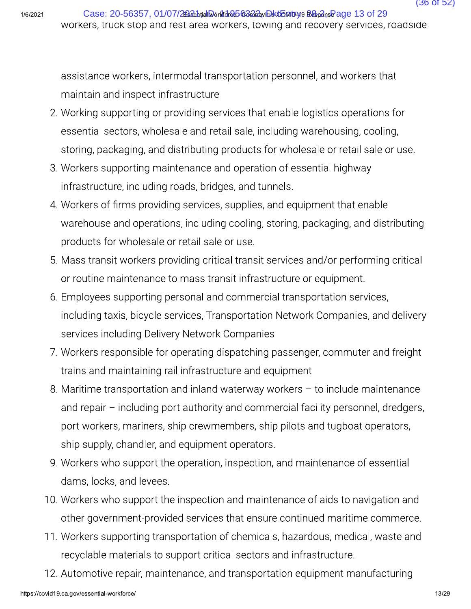assistance workers, intermodal transportation personnel, and workers that maintain and inspect infrastructure

- 2. Working supporting or providing services that enable logistics operations for essential sectors, wholesale and retail sale, including warehousing, cooling, storing, packaging, and distributing products for wholesale or retail sale or use.
- 3. Workers supporting maintenance and operation of essential highway infrastructure, including roads, bridges, and tunnels.
- 4. Workers of firms providing services, supplies, and equipment that enable warehouse and operations, including cooling, storing, packaging, and distributing products for wholesale or retail sale or use.
- 5. Mass transit workers providing critical transit services and/or performing critical or routine maintenance to mass transit infrastructure or equipment.
- 6. Employees supporting personal and commercial transportation services, including taxis, bicycle services, Transportation Network Companies, and delivery services including Delivery Network Companies
- 7. Workers responsible for operating dispatching passenger, commuter and freight trains and maintaining rail infrastructure and equipment
- 8. Maritime transportation and inland waterway workers  $-$  to include maintenance and repair - including port authority and commercial facility personnel, dredgers, port workers, mariners, ship crewmembers, ship pilots and tugboat operators, ship supply, chandler, and equipment operators.
- 9. Workers who support the operation, inspection, and maintenance of essential dams, locks, and levees.
- 10. Workers who support the inspection and maintenance of aids to navigation and other government-provided services that ensure continued maritime commerce.
- 11. Workers supporting transportation of chemicals, hazardous, medical, waste and recyclable materials to support critical sectors and infrastructure.
- 12. Automotive repair, maintenance, and transportation equipment manufacturing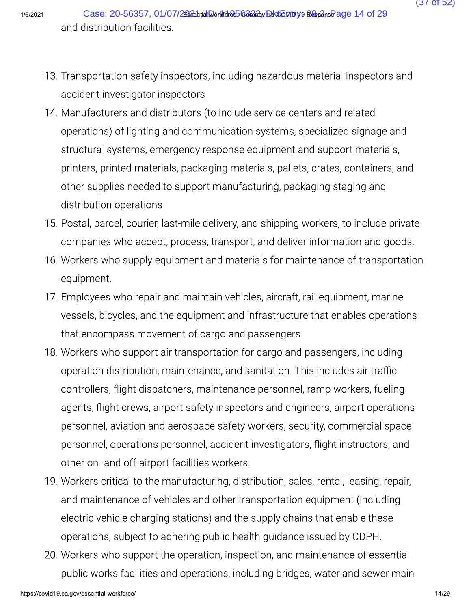- 13. Transportation safety inspectors, including hazardous material inspectors and accident investigator inspectors
- 14. Manufacturers and distributors (to include service centers and related operations) of lighting and communication systems, specialized signage and structural systems, emergency response equipment and support materials, printers, printed materials, packaging materials, pallets, crates, containers, and other supplies needed to support manufacturing, packaging staging and distribution operations
- 15. Postal, parcel, courier, last-mile delivery, and shipping workers, to include private companies who accept, process, transport, and deliver information and goods.
- 16. Workers who supply equipment and materials for maintenance of transportation equipment.
- 17. Employees who repair and maintain vehicles, aircraft, rail equipment, marine vessels, bicycles, and the equipment and infrastructure that enables operations that encompass movement of cargo and passengers
- 18. Workers who support air transportation for cargo and passengers, including operation distribution, maintenance, and sanitation. This includes air traffic controllers, flight dispatchers, maintenance personnel, ramp workers, fueling agents, flight crews, airport safety inspectors and engineers, airport operations personnel, aviation and aerospace safety workers, security, commercial space personnel, operations personnel, accident investigators, flight instructors, and other on- and off-airport facilities workers.
- 19. Workers critical to the manufacturing, distribution, sales, rental, leasing, repair, and maintenance of vehicles and other transportation equipment (including electric vehicle charging stations) and the supply chains that enable these operations, subject to adhering public health quidance issued by CDPH.
- 20. Workers who support the operation, inspection, and maintenance of essential public works facilities and operations, including bridges, water and sewer main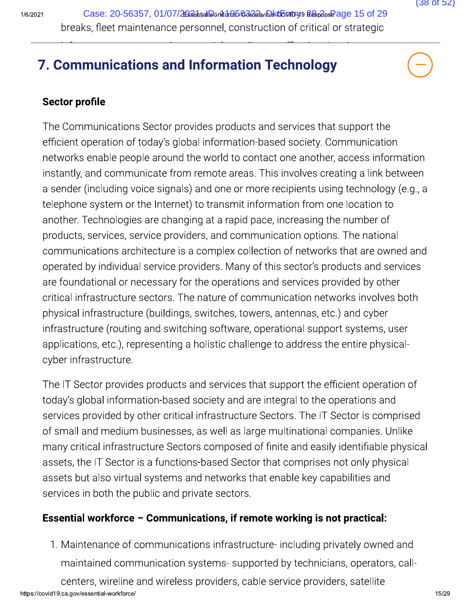2021 Case: 20-56357, 01/07/2022-իtialMorkfdrebCo222, hDktbonby99 2&ഹി , Page 15 of 29 Case: 20-56357, 01/07/2636thutalDorld de Bocalda will ktbotty is Response 15 of 29<br>
breaks, fleet maintenance personnel, construction of critical or strategic<br> **7. Communications and Information Technology**<br>
Sector profile

### 7. Communications and Information Technology

### Sector profile

The Communications and Information Technology<br>
Sector profile<br>
The Communications Sector provides products and services that support the<br>
efficient operation of today's global information-based society. Communication<br>
netw 7. **Communications and Information Technology**<br>
Sector profile<br>
The Communications Sector provides products and services that support the<br>
efficient operation of today's global information-based society. Communication<br>
net 7. **Communications and Information Technology**<br>
Sector profile<br>
The Communications Sector provides products and services that support the<br>
efficient operation of today's global information-based society. Communication<br>
ne Sector profile<br>The Communications Sector provides products and services that support the<br>efficient operation of today's global information-based society. Communication<br>networks enable people around the world to contact one Sector profile<br>
The Communications Sector provides products and services that support the<br>
efficient operation of today's global information-based society. Communication<br>
networks enable people around the world to contact The Communications Sector provides products and services that support the efficient operation of today's global information-based society. Communication networks enable people around the world to contact one another, acces The Communications Sector provides products and services that support the efficient operation of today's global information-based society. Communication networks enable people around the world to contact one another, acces efficient operation of today's global information-based society. Communication<br>networks enable people around the world to contact one another, access informa<br>instantly, and communicate from remote areas. This involves crea networks enable people around the world to contact one another, access information<br>instantly, and communicate from remote areas. This involves creating a link between<br>a sender (including voice signals) and one or more reci instantly, and communicate from remote areas. This involves creating a link between<br>a sender (including voice signals) and one or more recipients using technology (e.g., a<br>telephone system or the Internet) to transmit info a sender (including voice signals) and one or more recipients using technology (e.g., a<br>telephone system or the Internet) to transmit information from one location to<br>another. Technologies are changing at a rapid pace, inc telephone system or the Internet) to transmit information from one location to<br>another. Technologies are changing at a rapid pace, increasing the number of<br>products, services, service providers, and communication options. another. Technologies are changing at a rapid pace, increasing the number of<br>products, services, service providers, and communication options. The national<br>communications architecture is a complex collection of networks th products, services, service providers, and communication options. The national<br>communications architecture is a complex collection of networks that are owned and<br>operated by individual service providers. Many of this secto communications architecture is a complex collection of networks that are owned and<br>operated by individual service providers. Many of this sector's products and services<br>are foundational or necessary for the operations and operated by individual service providers.<br>
are foundational or necessary for the ope<br>
critical infrastructure sectors. The nature<br>
physical infrastructure (buildings, switch<br>
infrastructure (routing and switching soft<br>
app

eritical infrastructure sectors. The nature of communication networks involves both<br>physical infrastructure ectors. The nature of communication networks involves both<br>physical infrastructure (buildings, switches, towers, a by sical infrastructure (buildings, switches, towers, antennas, etc.) and cyber<br>infrastructure (fouting and switching software, operational support systems, user<br>applications, etc.), representing a holistic challenge to ad infrastructure (routing and switching software, operational support systems, user<br>infrastructure (routing and switching software, operational support systems, user<br>applications, etc.), representing a holistic challenge to applications, etc.), representing solitically solitically explore by sections, accipations, etc.), representing a holistic challenge to address the entire physical-<br>cyber infrastructure.<br>The IT Sector provides products and explose infrastructure.<br>
Cyber infrastructure.<br>
The IT Sector provides products and services that support the efficient operation of<br>
today's global information-based society and are integral to the operations and<br>
service The IT Sector provides products and services that support the efficient operation of<br>today's global information-based society and are integral to the operations and<br>services provided by other critical infrastructure Sector The IT Sector provides products and services that support the efficient operational today's global information-based society and are integral to the operations and services provided by other critical infrastructure Sectors today's global information-based society and are integral to the ope<br>services provided by other critical infrastructure Sectors. The IT Sec<br>of small and medium businesses, as well as large multinational cor<br>many critical i lany critical infrastructure Sectors composed of finite and easily identifiable physical<br>ssets, the IT Sector is a functions-based Sector that comprises not only physical<br>ssets but also virtual systems and networks that en First, the H Sector is a functions based sector that comprises not only priysical<br>that so virtual systems and networks that enable key capabilities and<br>ices in both the public and private sectors.<br>**ential workforce – Commu** 

### Essential workforce  $-$  Communications, if remote working is not practical:

https://covid19.ca.gov/essential-workforce/  $^{15/2}$ Services in both the public and private sectors.<br> **Essential workforce – Communications, if remote working is not practical:**<br>
1. Maintenance of communications infrastructure- including privately owned and<br>
maintained comm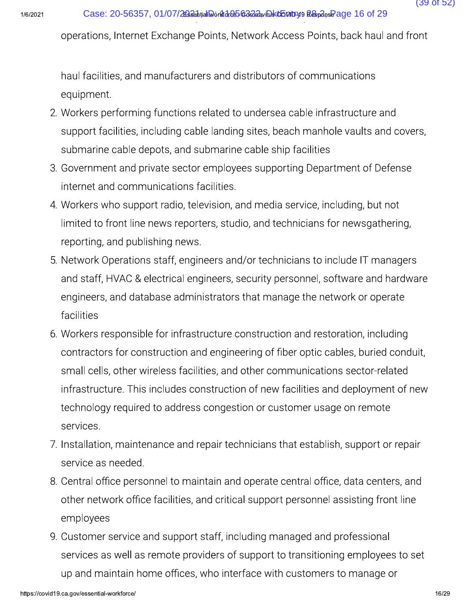operations, Internet Exchange Points, Network Access Points, back haul and front

haul facilities, and manufacturers and distributors of communications equipment.

- 2. Workers performing functions related to undersea cable infrastructure and support facilities, including cable landing sites, beach manhole vaults and covers, submarine cable depots, and submarine cable ship facilities
- 3. Government and private sector employees supporting Department of Defense internet and communications facilities.
- 4. Workers who support radio, television, and media service, including, but not limited to front line news reporters, studio, and technicians for newsgathering, reporting, and publishing news.
- 5. Network Operations staff, engineers and/or technicians to include IT managers and staff, HVAC & electrical engineers, security personnel, software and hardware engineers, and database administrators that manage the network or operate facilities
- 6. Workers responsible for infrastructure construction and restoration, including contractors for construction and engineering of fiber optic cables, buried conduit, small cells, other wireless facilities, and other communications sector-related infrastructure. This includes construction of new facilities and deployment of new technology required to address congestion or customer usage on remote services.
- 7. Installation, maintenance and repair technicians that establish, support or repair service as needed.
- 8. Central office personnel to maintain and operate central office, data centers, and other network office facilities, and critical support personnel assisting front line employees
- 9. Customer service and support staff, including managed and professional services as well as remote providers of support to transitioning employees to set up and maintain home offices, who interface with customers to manage or

 $(39 \text{ of } 52)$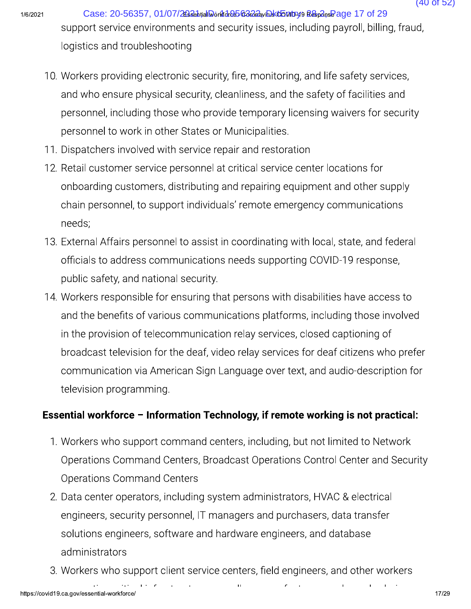Case: 20-56357, 01/07/26826htial Workfdred568282xiDsktbontbyt9 Respons Page 17 of 29 support service environments and security issues, including payroll, billing, fraud, logistics and troubleshooting

- 10. Workers providing electronic security, fire, monitoring, and life safety services, and who ensure physical security, cleanliness, and the safety of facilities and personnel, including those who provide temporary licensing waivers for security personnel to work in other States or Municipalities.
- 11. Dispatchers involved with service repair and restoration
- 12. Retail customer service personnel at critical service center locations for onboarding customers, distributing and repairing equipment and other supply chain personnel, to support individuals' remote emergency communications needs;
- 13. External Affairs personnel to assist in coordinating with local, state, and federal officials to address communications needs supporting COVID-19 response, public safety, and national security.
- 14. Workers responsible for ensuring that persons with disabilities have access to and the benefits of various communications platforms, including those involved in the provision of telecommunication relay services, closed captioning of broadcast television for the deaf, video relay services for deaf citizens who prefer communication via American Sign Language over text, and audio-description for television programming.

### Essential workforce - Information Technology, if remote working is not practical:

- 1. Workers who support command centers, including, but not limited to Network Operations Command Centers, Broadcast Operations Control Center and Security **Operations Command Centers**
- 2. Data center operators, including system administrators, HVAC & electrical engineers, security personnel, IT managers and purchasers, data transfer solutions engineers, software and hardware engineers, and database administrators
- 3. Workers who support client service centers, field engineers, and other workers

ū

 $(40$  of 52)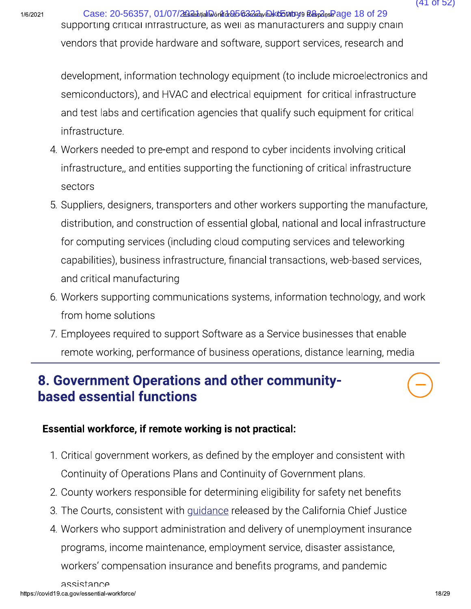Case: 20-56357, 01/07/26326htial Workfdreb 63222yiDsktb Mtryl9 Respons Page 18 of 29 supporting critical infrastructure, as well as manufacturers and supply chain vendors that provide hardware and software, support services, research and

development, information technology equipment (to include microelectronics and semiconductors), and HVAC and electrical equipment for critical infrastructure and test labs and certification agencies that qualify such equipment for critical infrastructure.

- 4. Workers needed to pre-empt and respond to cyber incidents involving critical infrastructure,, and entities supporting the functioning of critical infrastructure sectors
- 5. Suppliers, designers, transporters and other workers supporting the manufacture, distribution, and construction of essential global, national and local infrastructure for computing services (including cloud computing services and teleworking capabilities), business infrastructure, financial transactions, web-based services, and critical manufacturing
- 6. Workers supporting communications systems, information technology, and work from home solutions
- 7. Employees required to support Software as a Service businesses that enable remote working, performance of business operations, distance learning, media

## 8. Government Operations and other community**based essential functions**

### Essential workforce, if remote working is not practical:

- 1. Critical government workers, as defined by the employer and consistent with Continuity of Operations Plans and Continuity of Government plans.
- 2. County workers responsible for determining eligibility for safety net benefits
- 3. The Courts, consistent with guidance released by the California Chief Justice
- 4. Workers who support administration and delivery of unemployment insurance programs, income maintenance, employment service, disaster assistance, workers' compensation insurance and benefits programs, and pandemic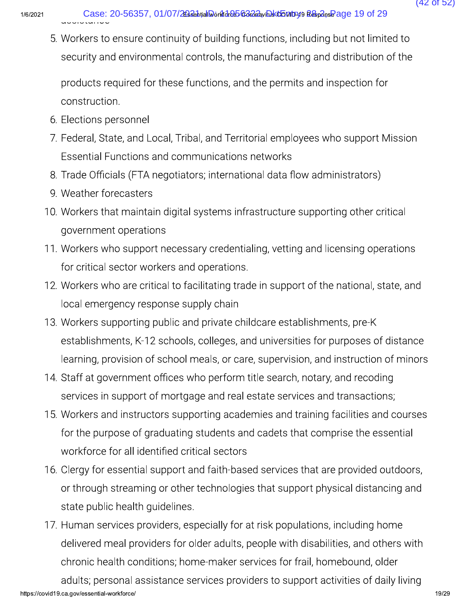Gase: 20-56357, 01/07/<br>
S. Workers to ensure continuing<br>
security and environmenta<br>
products required for these<br>
construction.<br>
6. Elections personnel Case: 20-56357, 01/07/2024-10 Doctor Case and North Cases: 20-56357, 01/07/2024-10 Doctor Case and Limited to<br>5. Workers to ensure continuity of building functions, including but not limited to<br>security and environmental c

- 
- Case: 20-56357, 01/07/2003 by the distribution of the security of building functions, including but not limited to<br>5. Workers to ensure continuity of building functions, including but not limited to<br>8 security and environm Case: 20-56357, 01/07/2034<sub>14</sub>10<sub>64</sub>448562224<sub>24</sub>0842485 19 of 29<br>
5. Workers to ensure continuity of building functions, including but not limited to<br>
security and environmental controls, the manufacturing and distributio Case: 20-56357, 01/07/26386hyal<br>
5. Workers to ensure continuity of b<br>
security and environmental control<br>
products required for these funct<br>
construction.<br>
6. Elections personnel<br>
7. Federal, State, and Local, Tribal, a<br> 3. Workers to ensure continuity<br>security and environmental<br>products required for these<br>construction.<br>6. Elections personnel<br>7. Federal, State, and Local, Tri<br>Essential Functions and cor<br>8. Trade Officials (FTA negotia<br>9. W S. Workers to ensure continuity or building functions, including but not immed to<br>security and environmental controls, the manufacturing and distribution of the<br>products required for these functions, and the permits and in
	-
	- 9. Weather forecasters
	- Security and environmental controls, the manufacturing and<br>products required for these functions, and the permits and ir<br>construction.<br>6. Elections personnel<br>7. Federal, State, and Local, Tribal, and Territorial employees
		- products required for these functions, and the permits and inspection for<br>
		construction.<br>
		6. Elections personnel<br>
		7. Federal, State, and Local, Tribal, and Territorial employees who support Mission<br>
		Essential Functions and 7. Federal, State, and Local, Tribal, and Territe<br>
		Essential Functions and communications<br>
		8. Trade Officials (FTA negotiators; internatio<br>
		9. Weather forecasters<br>
		10. Workers that maintain digital systems infra<br>
		governmen
			- 6. Elections personnel<br>
			7. Federal, State, and Local, Tribal, and Territorial employees who support Mission<br>
			Essential Functions and communications networks<br>
			8. Trade Officials (FTA negotiators; international data flow adm
- Essential Functions and communications networks<br>
8. Trade Officials (FTA negotiators; international data flow administrators)<br>
9. Weather forecasters<br>
10. Workers that maintain digital systems infrastructure supporting oth 8. Trade Officials (FTA negotiators; international data flow adm<br>
9. Weather forecasters<br>
10. Workers that maintain digital systems infrastructure suppor<br>
government operations<br>
11. Workers who support necessary credential 9. Weather forecasters<br>
10. Workers that maintain digital systems infrastructure supporting other critical<br>
government operations<br>
11. Workers who support necessary credentialing, vetting and licensing operations<br>
for crit Workers that maintain digital systems infrastructure support<br>government operations<br>Workers who support necessary credentialing, vetting and lic<br>for critical sector workers and operations.<br>Workers who are critical to facili Subsemierations<br>11. Workers who support necessary credentialing, vetting and licensing operation<br>12. Workers who are critical to facilitating trade in support of the national, state, a<br>12. Workers who are critical to facil 11. Workers who support necessary credentialing, vetting and licensing operations<br>for critical sector workers and operations.<br>12. Workers who are critical to facilitating trade in support of the national, state, and<br>local
	-
- for critical sector workers and operations.<br>
12. Workers who are critical to facilitating trade in support of the national, state, and<br>
13. Workers supporting public and private childcare establishments, pre-K<br>
establishme 12. Workers who are critical to facilitating trade in support of the national, state, and<br>
local emergency response supply chain<br>
13. Workers supporting public and private childcare establishments, pre-K<br>
establishments, K local emergency response supply chain<br>
13. Workers supporting public and private childcare establishments, pre-K<br>
establishments, K-12 schools, colleges, and universities for purposes of distance<br>
learning, provision of sc 13. Workers supporting public and private childcare establishments, pre-K<br>establishments, K-12 schools, colleges, and universities for purposes of distance<br>learning, provision of school meals, or care, supervision, and ins establishments, K-12 schools, colleges, and universities for purposes of distance<br>learning, provision of school meals, or care, supervision, and instruction of minors<br>Staff at government offices who perform title search, n Framing, provision of school meals, or care, supervisiand and the Staff at government offices who perform title search, services in support of mortgage and real estate servies and instructors supporting academies and the f
	-
- 14. Staff at government offices who perform title search, notary, and recoding<br>services in support of mortgage and real estate services and transactions;<br>15. Workers and instructors supporting academies and training facili Services in support of mortgage and real estate services and transactions;<br>
15. Workers and instructors supporting academies and training facilities and courses<br>
for the purpose of graduating students and cadets that compr 15. Workers and instructors supporting academies is<br>for the purpose of graduating students and cade<br>workforce for all identified critical sectors<br>16. Clergy for essential support and faith-based serv<br>or through streaming o for the purpose of graduating students and cadets that comprise the essential<br>workforce for all identified critical sectors<br>16. Clergy for essential support and faith-based services that are provided outdoors,<br>or through s To Clergy for essential support and faith-based services that are provided outdoor or through streaming or other technologies that support physical distancing a state public health guidelines.<br>17. Human services providers, % or through streaming or other technologies that support physical distancing and<br>state public health guidelines.<br>T. Human services providers, especially for at risk populations, including home<br>delivered meal providers for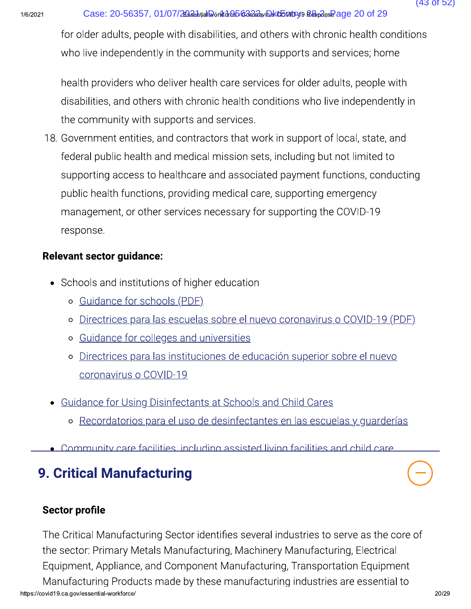for older adults, people with disabilities, and others with chronic health conditions who live independently in the community with supports and services; home

health providers who deliver health care services for older adults, people with disabilities, and others with chronic health conditions who live independently in the community with supports and services.

18. Government entities, and contractors that work in support of local, state, and federal public health and medical mission sets, including but not limited to supporting access to healthcare and associated payment functions, conducting public health functions, providing medical care, supporting emergency management, or other services necessary for supporting the COVID-19 response.

### **Relevant sector guidance:**

- Schools and institutions of higher education
	- o Guidance for schools (PDF)
	- o Directrices para las escuelas sobre el nuevo coronavirus o COVID-19 (PDF)
	- o Guidance for colleges and universities
	- o Directrices para las instituciones de educación superior sobre el nuevo coronavirus o COVID-19
- Guidance for Using Disinfectants at Schools and Child Cares
	- o Recordatorios para el uso de desinfectantes en las escuelas y quarderías
- . Community care facilities including assisted living facilities and child care

# **9. Critical Manufacturing**

## **Sector profile**

The Critical Manufacturing Sector identifies several industries to serve as the core of the sector: Primary Metals Manufacturing, Machinery Manufacturing, Electrical Equipment, Appliance, and Component Manufacturing, Transportation Equipment Manufacturing Products made by these manufacturing industries are essential to https://covid19.ca.gov/essential-workforce/

 $(43$  of 52)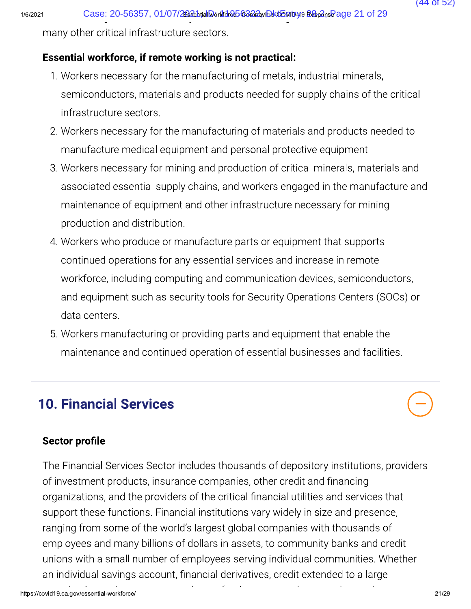$1/6/2$ 

### Essential workforce, if remote working is not practical:

- Case: 20-56357, 01/07/26336httal Workfd-8563232, will keep many other critical infrastructure sectors.<br> **Essential workforce, if remote working is not practical:**<br>
1. Workers necessary for the manufacturing of metals,<br>
sem Case: 20-56357, 01/07/2024.<br>
I any other critical infrastructure sectors.<br> **Ssential workforce, if remote working is not practical:**<br>
1. Workers necessary for the manufacturing of metals, industrial minerals,<br>
semiconducto Case: 20-56357, 01/07/2024<br>
3-Many other critical infrastructure sectors.<br> **Essential workforce, if remote working is not practical:**<br>
1. Workers necessary for the manufacturing of metals, industrial minerals,<br>
semiconduct infrastructure sectors.
	-
	- Many other critical intrastructure sectors.<br> **Ssential workforce, if remote working is not practical:**<br>
	1. Workers necessary for the manufacturing of metals, industrial minerals,<br>
	semiconductors, materials and products nee **Essential workforce, if remote working is not practical:**<br>
	1. Workers necessary for the manufacturing of metals, industrial minerals,<br>
	semiconductors, materials and products needed for supply chains of the critical<br>
	infra 1. Workers necessary for the manufacturing of metals, industrial minerals,<br>semiconductors, materials and products needed for supply chains of the critical<br>infrastructure sectors.<br>2. Workers necessary for the manufacturing semiconductors, materials and products needed for supply chains of the critical<br>infrastructure sectors.<br>Workers necessary for the manufacturing of materials and products needed to<br>manufacture medical equipment and personal production and distribution.
	- infrastructure sectors.<br>
	2. Workers necessary for the manufacturing of materials and products needed to<br>
	manufacture medical equipment and personal protective equipment<br>
	3. Workers necessary for mining and production of cr manufacture medical equipment and personal protective equipment<br>3. Workers necessary for mining and production of critical minerals, materials<br>associated essential supply chains, and workers engaged in the manufacture<br>main Workers necessary for mining and production of critical minerals, materials and<br>associated essential supply chains, and workers engaged in the manufacture and<br>maintenance of equipment and other infrastructure necessary for associated essential supply chains, and workers engaged in the manufacture and<br>maintenance of equipment and other infrastructure necessary for mining<br>production and distribution.<br>Workers who produce or manufacture parts or maintenance of equipment and other infrastructure necessary for mining<br>production and distribution.<br>4. Workers who produce or manufacture parts or equipment that supports<br>continued operations for any essential services and data centers. 4. Workers who produce or manufacture parts or equipment that supports<br>
	continued operations for any essential services and increase in remote<br>
	workforce, including computing and communication devices, semiconduct<br>
	and equ Continued operations for any essential services and increase in remote<br>
	workforce, including computing and communication devices, semiconductors<br>
	and equipment such as security tools for Security Operations Centers (SOCs)<br>
		-

# 10. Financial Services

### Sector profile

The Financial Services Sector includes thousands of depository institutions, providers **10. Financial Services**<br> **Sector profile**<br>
The Financial Services Sector includes thousands of depository institutior<br>
of investment products, insurance companies, other credit and financing<br>
organizations, and the provid organizations, and the providers of the critical financial utilities and services that support these functions. Financial institutions vary widely in size and presence, Sector profile<br>
The Financial Services Sector includes thousands of depository institutions, prof investment products, insurance companies, other credit and financing<br>
organizations, and the providers of the critical finan The Financial Services Sector includes thousands of depository institutions, provid<br>of investment products, insurance companies, other credit and financing<br>organizations, and the providers of the critical financial utiliti The Financial Services Sector includes thousands of depository institutions, providers<br>of investment products, insurance companies, other credit and financing<br>organizations, and the providers of the critical financial util an individual savings account, financial derivatives, credit extended to a large

(44 of 52)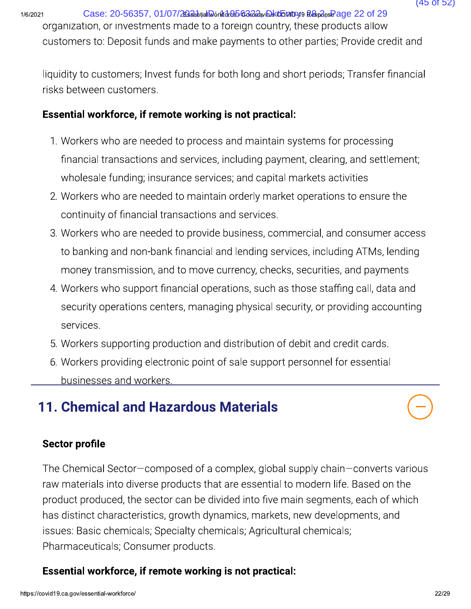2021 Case: 20-56357, 01/07/20226.htialMorAfdreb6c222, phktbnby.org Resp2nsePage 22 of 29

Case: 20-56357, 01/07/2023 Case: 20-56357, 01/07/2023 Compared ALGES COM Consequently as a comparation, or investments made to a foreign country, these products allow customers to: Deposit funds and make payments to other customers to: Deposit funds and make payments to other parties; Provide credit and

risks between customers.

### Essential workforce, if remote working is not practical:

- Case: 20-56357, 01/07/2834<sub>0</sub>, allow and also a witch to the particle products allow<br>organization, or investments made to a toreign country, these products allow<br>customers to: Deposit funds and make payments to other parti Subriets to: Deposit funds and make payments to other parties, Provide credit and<br>quidity to customers; Invest funds for both long and short periods; Transfer financial<br>sks between customers.<br>**ssential workforce, if remote** dity to customers; Invest funds for both long and short periods; Transfer financial<br>between customers.<br>**antial workforce, if remote working is not practical:**<br>Workers who are needed to process and maintain systems for proc
	- 2. Workers who are needed to maintain orderly market operations to ensure the continuity of financial transactions and services.
- Example 1 at also working is not practical:<br>1. Workers who are needed to process and maintain systems for proces<br>financial transactions and services, including payment, clearing, and s<br>wholesale funding; insurance services 3. Workers who are needed to provide business, commercial, and consumer access financial transactions and services, including payment, clearing, and settlement;<br>wholesale funding; insurance services; and capital markets activities<br>2. Workers who are needed to maintain orderly market operations to ens money transmission, and to move currency, checks, securities, and payments 2. Workers who are needed to maintain orderly market operations to ensure the<br>continuity of financial transactions and services.<br>3. Workers who are needed to provide business, commercial, and consumer access<br>to banking and continuity of financial transactions and services.<br>
Workers who are needed to provide business, commercial, and consumer access<br>
to banking and non-bank financial and lending services, including ATMs, lending<br>
money transm
	- services. to banking and non-bank financial and lending services, including ATMs, lemoney transmission, and to move currency, checks, securities, and paymer<br>4. Workers who support financial operations, such as those staffing call, d money transmission, and to move currency, checks, securities, and paymer<br>
	4. Workers who support financial operations, such as those staffing call, data<br>
	security operations centers, managing physical security, or providin
		-
		- businesses and workers.

# 11. Chemical and Hazardous Materials

### Sector profile

**11. Chemical and Hazardous Materials**<br> **C7/**<br> **Sector profile**<br>
The Chemical Sector-composed of a complex, global supply chain-converts various<br>
raw materials into diverse products that are essential to modern life. Based raw materials into diverse products that are essential to modern life. Based on the **11. Chemical and Hazardous Materials**<br> **Sector profile**<br>
The Chemical Sector—composed of a complex, global supply chain—converts variou<br>
raw materials into diverse products that are essential to modern life. Based on the Sector profile<br>The Chemical Sector—composed of a complex, global supply chain—converts va<br>raw materials into diverse products that are essential to modern life. Based on th<br>product produced, the sector can be divided into Sector profile<br>The Chemical Sector—composed of a complex, global supply chain—cr<br>aw materials into diverse products that are essential to modern life. Ba<br>product produced, the sector can be divided into five main segments, Pharmaceuticals; Consumer products.

### Essential workforce, if remote working is not practical: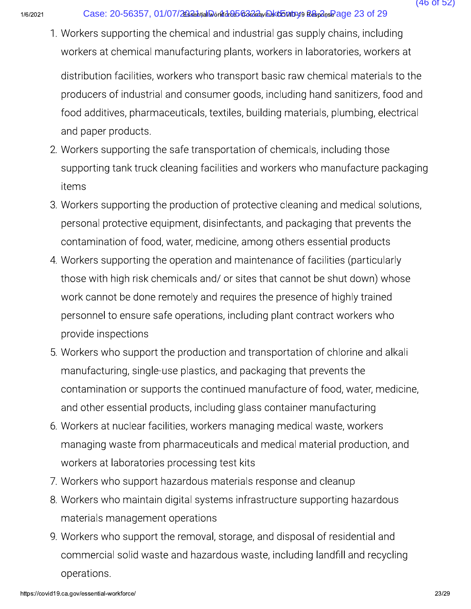1. Workers supporting the chemical and industrial gas supply chains, including workers at chemical manufacturing plants, workers in laboratories, workers at

distribution facilities, workers who transport basic raw chemical materials to the producers of industrial and consumer goods, including hand sanitizers, food and food additives, pharmaceuticals, textiles, building materials, plumbing, electrical and paper products.

- 2. Workers supporting the safe transportation of chemicals, including those supporting tank truck cleaning facilities and workers who manufacture packaging items
- 3. Workers supporting the production of protective cleaning and medical solutions, personal protective equipment, disinfectants, and packaging that prevents the contamination of food, water, medicine, among others essential products
- 4. Workers supporting the operation and maintenance of facilities (particularly those with high risk chemicals and/ or sites that cannot be shut down) whose work cannot be done remotely and requires the presence of highly trained personnel to ensure safe operations, including plant contract workers who provide inspections
- 5. Workers who support the production and transportation of chlorine and alkali manufacturing, single-use plastics, and packaging that prevents the contamination or supports the continued manufacture of food, water, medicine, and other essential products, including glass container manufacturing
- 6. Workers at nuclear facilities, workers managing medical waste, workers managing waste from pharmaceuticals and medical material production, and workers at laboratories processing test kits
- 7. Workers who support hazardous materials response and cleanup
- 8. Workers who maintain digital systems infrastructure supporting hazardous materials management operations
- 9. Workers who support the removal, storage, and disposal of residential and commercial solid waste and hazardous waste, including landfill and recycling operations.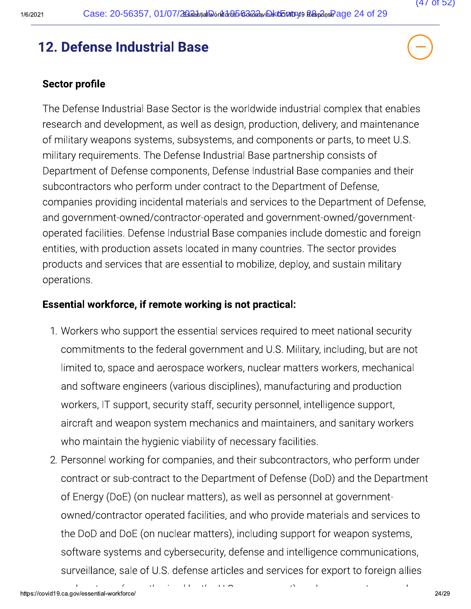# 12. Defense Industrial Base

### **Sector profile**

The Defense Industrial Base Sector is the worldwide industrial complex that enables research and development, as well as design, production, delivery, and maintenance of military weapons systems, subsystems, and components or parts, to meet U.S. military requirements. The Defense Industrial Base partnership consists of Department of Defense components, Defense Industrial Base companies and their subcontractors who perform under contract to the Department of Defense, companies providing incidental materials and services to the Department of Defense, and government-owned/contractor-operated and government-owned/governmentoperated facilities. Defense Industrial Base companies include domestic and foreign entities, with production assets located in many countries. The sector provides products and services that are essential to mobilize, deploy, and sustain military operations.

### Essential workforce, if remote working is not practical:

 $\sim 1$ 

- 1. Workers who support the essential services required to meet national security commitments to the federal government and U.S. Military, including, but are not limited to, space and aerospace workers, nuclear matters workers, mechanical and software engineers (various disciplines), manufacturing and production workers, IT support, security staff, security personnel, intelligence support, aircraft and weapon system mechanics and maintainers, and sanitary workers who maintain the hygienic viability of necessary facilities.
- 2. Personnel working for companies, and their subcontractors, who perform under contract or sub-contract to the Department of Defense (DoD) and the Department of Energy (DoE) (on nuclear matters), as well as personnel at governmentowned/contractor operated facilities, and who provide materials and services to the DoD and DoE (on nuclear matters), including support for weapon systems, software systems and cybersecurity, defense and intelligence communications, surveillance, sale of U.S. defense articles and services for export to foreign allies

 $\Delta$ 

 $\blacksquare$ 

 $\blacksquare$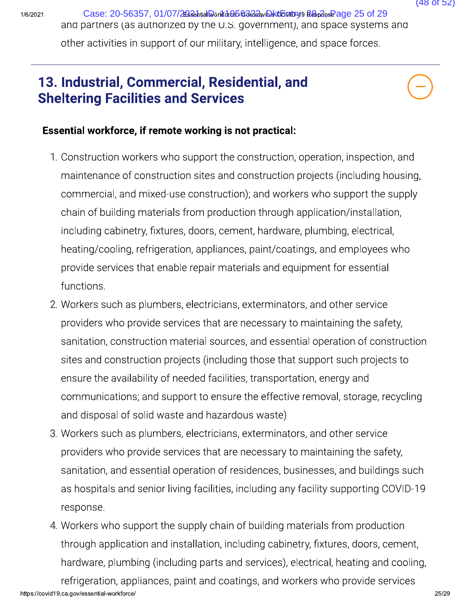Case: 20-56357, 01/07/26326htial Workfdreb 63222yiDsktb Mtryl9 Respons Page 25 of 29 and partners (as authorized by the U.S. government), and space systems and other activities in support of our military, intelligence, and space forces.

### 13. Industrial, Commercial, Residential, and **Sheltering Facilities and Services**



 $(48$  of 52)

### Essential workforce, if remote working is not practical:

- 1. Construction workers who support the construction, operation, inspection, and maintenance of construction sites and construction projects (including housing, commercial, and mixed-use construction); and workers who support the supply chain of building materials from production through application/installation, including cabinetry, fixtures, doors, cement, hardware, plumbing, electrical, heating/cooling, refrigeration, appliances, paint/coatings, and employees who provide services that enable repair materials and equipment for essential functions.
- 2. Workers such as plumbers, electricians, exterminators, and other service providers who provide services that are necessary to maintaining the safety, sanitation, construction material sources, and essential operation of construction sites and construction projects (including those that support such projects to ensure the availability of needed facilities, transportation, energy and communications; and support to ensure the effective removal, storage, recycling and disposal of solid waste and hazardous waste)
- 3. Workers such as plumbers, electricians, exterminators, and other service providers who provide services that are necessary to maintaining the safety, sanitation, and essential operation of residences, businesses, and buildings such as hospitals and senior living facilities, including any facility supporting COVID-19 response.
- 4. Workers who support the supply chain of building materials from production through application and installation, including cabinetry, fixtures, doors, cement, hardware, plumbing (including parts and services), electrical, heating and cooling, refrigeration, appliances, paint and coatings, and workers who provide services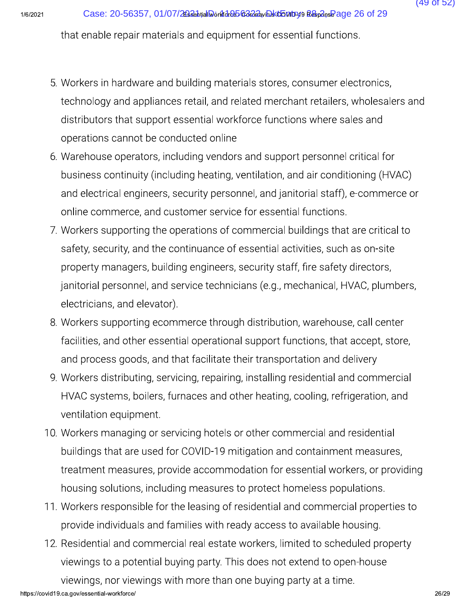- Case: 20-56357, 01/07/26886htallaonflace 5688884whold both physicial functions.<br>
that enable repair materials and equipment for essential functions.<br>
5. Workers in hardware and building materials stores, consumer electroni Case: 20-56357, 01/07/2024 bond de De De De Alexandro Bandary of Materials and equipment for essential functions.<br>
5. Workers in hardware and building materials stores, consumer electronics,<br>
technology and appliances reta Case: 20-56357, 01/07/2003 Case 26 of 29<br>
that enable repair materials and equipment for essential functions.<br>
5. Workers in hardware and building materials stores, consumer electronics,<br>
technology and appliances retail, that enable repair materials and equipment for essential functions.<br>
5. Workers in hardware and building materials stores, consumer electronics,<br>
technology and appliances retail, and related merchant retailers, wholesaler 5. Workers in hardware and building materials stores, consumer electronics,<br>technology and appliances retail, and related merchant retailers, wholesalers and<br>distributors that support essential workforce functions where sa
	- 5. Workers in hardware and building mater<br>technology and appliances retail, and rel<br>distributors that support essential workf<br>operations cannot be conducted online<br>6. Warehouse operators, including vendors<br>business continu Workers in hardware and building materials stores, consumer electronics,<br>technology and appliances retail, and related merchant retailers, wholesalers an<br>distributors that support essential workforce functions where sales
- technology and appliances retail, and related merchant retailers, wholesalers and<br>distributors that support essential workforce functions where sales and<br>operations cannot be conducted online<br>6. Warehouse operators, includ distributors that support essential workforce functions where sales and<br>operations cannot be conducted online<br>6. Warehouse operators, including vendors and support personnel critical for<br>business continuity (including heat operations cannot be conducted online<br>6. Warehouse operators, including vendors and support personnel critical for<br>business continuity (including heating, ventilation, and air conditioning (HVAC)<br>and electrical engineers, 6. Warehouse operators, including vendors and support personnel critical for<br>business continuity (including heating, ventilation, and air conditioning (HVAC)<br>and electrical engineers, security personnel, and janitorial sta business continuity (including heating, ventilation, and air conditioning (HVAC)<br>and electrical engineers, security personnel, and janitorial staff), e-commerce or<br>online commerce, and customer service for essential functi and electrical engineers, security personnel, and janitorial staff), e-commerce or<br>online commerce, and customer service for essential functions.<br>7. Workers supporting the operations of commercial buildings that are critic online commerce, and customer service for<br>7. Workers supporting the operations of comm<br>safety, security, and the continuance of esse<br>property managers, building engineers, secu<br>janitorial personnel, and service technicians 7. Workers supporting the operations of commercial buildings that are critical to safety, security, and the continuance of essential activities, such as on-site property managers, building engineers, security staff, fire s safety, security, and the continuance of essential activities, such as on-site<br>property managers, building engineers, security staff, fire safety directors,<br>janitorial personnel, and service technicians (e.g., mechanical, property managers, building engineers, security staff, fire safety directors,<br>
janitorial personnel, and service technicians (e.g., mechanical, HVAC, plumbers,<br>
electricians, and elevator).<br>
8. Workers supporting ecommerce
	-
	-
	- ianitorial personnel, and service technicians (e.g., mechanical, HVAC, plumbers,<br>electricians, and elevator).<br>8. Workers supporting ecommerce through distribution, warehouse, call center<br>facilities, and other essential ope electricians, and elevator).<br>Workers supporting ecommerce through distribution, warehouse, call center<br>facilities, and other essential operational support functions, that accept, store,<br>and process goods, and that facilita 8. Workers supporting ecommerfacilities, and other essential<br>and process goods, and that<br>9. Workers distributing, servicir<br>HVAC systems, boilers, furna<br>ventilation equipment.<br>10. Workers managing or servic<br>buildings that a facilities, and other essential operational support functions, that accept, store,<br>and process goods, and that facilitate their transportation and delivery<br>9. Workers distributing, servicing, repairing, installing resident and process goods, and that facilitate their transportation and delivery<br>
	9. Workers distributing, servicing, repairing, installing residential and commercial<br>
	HVAC systems, boilers, furnaces and other heating, cooling, re 9. Workers distributing, servicing, repairing, installing residential and commercial<br>HVAC systems, boilers, furnaces and other heating, cooling, refrigeration, and<br>ventilation equipment.<br>10. Workers managing or servicing h HVAC systems, boilers, furnaces and other heating, cooling, refrigeration, and<br>ventilation equipment.<br>Workers managing or servicing hotels or other commercial and residential<br>buildings that are used for COVID-19 mitigation ventilation equipment.<br>
	10. Workers managing or servicing hotels or other commercial and residential<br>
	buildings that are used for COVID-19 mitigation and containment measures,<br>
	treatment measures, provide accommodation for 10. Workers managing or servicing hotels or other commercial and residential<br>buildings that are used for COVID-19 mitigation and containment measures,<br>treatment measures, provide accommodation for essential workers, or pro buildings that are used for COVID-19 mitigation and containment measures,<br>treatment measures, provide accommodation for essential workers, or providin<br>housing solutions, including measures to protect homeless populations.<br>
		-
		- treatment measures, provide accommodation for essential workers, or probusing solutions, including measures to protect homeless populations.<br>11. Workers responsible for the leasing of residential and commercial proper<br>prov housing solutions, including measures to protect homeless populations.<br>Workers responsible for the leasing of residential and commercial properties to<br>provide individuals and families with ready access to available housing

https://covid19.ca.gov/essential-workforce/

(49 of 52)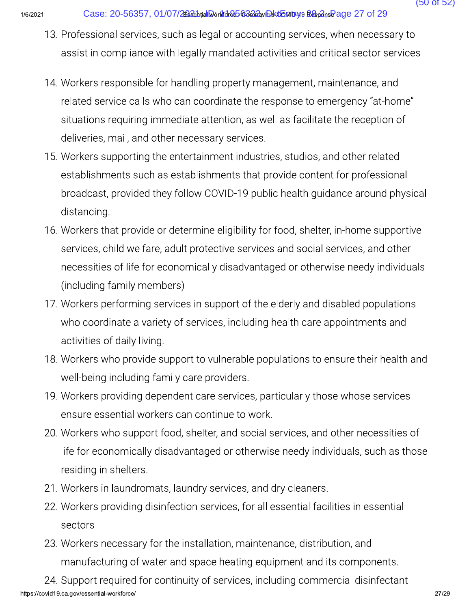- 13. Professional services, such as legal or accounting services, when necessary to assist in compliance with legally mandated activities and critical sector services
- 14. Workers responsible for handling property management, maintenance, and related service calls who can coordinate the response to emergency "at-home" situations requiring immediate attention, as well as facilitate the reception of deliveries, mail, and other necessary services.
- 15. Workers supporting the entertainment industries, studios, and other related establishments such as establishments that provide content for professional broadcast, provided they follow COVID-19 public health quidance around physical distancing.
- 16. Workers that provide or determine eligibility for food, shelter, in-home supportive services, child welfare, adult protective services and social services, and other necessities of life for economically disadvantaged or otherwise needy individuals (including family members)
- 17. Workers performing services in support of the elderly and disabled populations who coordinate a variety of services, including health care appointments and activities of daily living.
- 18. Workers who provide support to vulnerable populations to ensure their health and well-being including family care providers.
- 19. Workers providing dependent care services, particularly those whose services ensure essential workers can continue to work.
- 20. Workers who support food, shelter, and social services, and other necessities of life for economically disadvantaged or otherwise needy individuals, such as those residing in shelters.
- 21. Workers in laundromats, laundry services, and dry cleaners.
- 22. Workers providing disinfection services, for all essential facilities in essential sectors
- 23. Workers necessary for the installation, maintenance, distribution, and manufacturing of water and space heating equipment and its components.

24. Support required for continuity of services, including commercial disinfectant https://covid19.ca.gov/essential-workforce/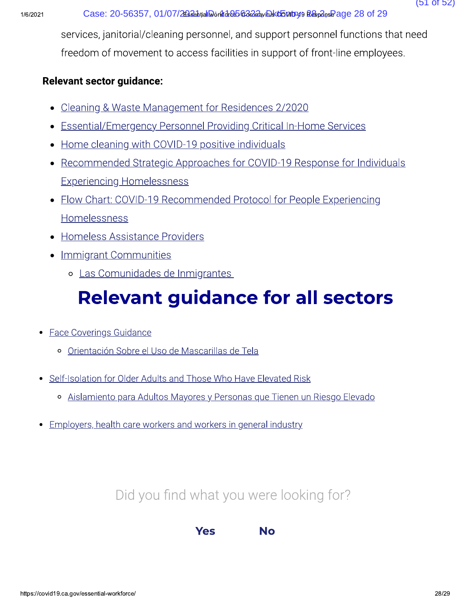services, janitorial/cleaning personnel, and support personnel functions that need freedom of movement to access facilities in support of front-line employees.

### **Relevant sector guidance:**

- Cleaning & Waste Management for Residences 2/2020
- Essential/Emergency Personnel Providing Critical In-Home Services
- Home cleaning with COVID-19 positive individuals
- Recommended Strategic Approaches for COVID-19 Response for Individuals **Experiencing Homelessness**
- Flow Chart: COVID-19 Recommended Protocol for People Experiencing Homelessness
- Homeless Assistance Providers
- Immigrant Communities
	- o Las Comunidades de Inmigrantes

# **Relevant guidance for all sectors**

- Face Coverings Guidance
	- o Orientación Sobre el Uso de Mascarillas de Tela
- Self-Isolation for Older Adults and Those Who Have Elevated Risk
	- · Aislamiento para Adultos Mayores y Personas que Tienen un Riesgo Elevado
- Employers, health care workers and workers in general industry  $\bullet$

# Did you find what you were looking for?

**Yes No**   $(51$  of  $52)$